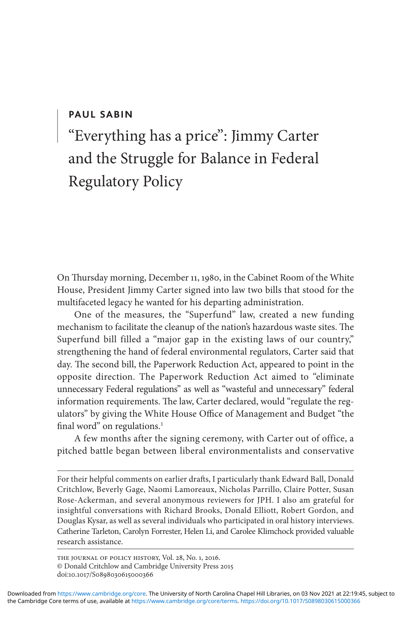# **PAUL SABIN**

 "Everything has a price": Jimmy Carter and the Struggle for Balance in Federal Regulatory Policy

On Thursday morning, December 11, 1980, in the Cabinet Room of the White House, President Jimmy Carter signed into law two bills that stood for the multifaceted legacy he wanted for his departing administration.

 One of the measures, the "Superfund" law, created a new funding mechanism to facilitate the cleanup of the nation's hazardous waste sites. The Superfund bill filled a "major gap in the existing laws of our country," strengthening the hand of federal environmental regulators, Carter said that day. The second bill, the Paperwork Reduction Act, appeared to point in the opposite direction. The Paperwork Reduction Act aimed to "eliminate unnecessary Federal regulations" as well as "wasteful and unnecessary" federal information requirements. The law, Carter declared, would "regulate the regulators" by giving the White House Office of Management and Budget "the final word" on regulations. $<sup>1</sup>$ </sup>

 A few months after the signing ceremony, with Carter out of office, a pitched battle began between liberal environmentalists and conservative

For their helpful comments on earlier drafts, I particularly thank Edward Ball, Donald Critchlow, Beverly Gage, Naomi Lamoreaux, Nicholas Parrillo, Claire Potter, Susan Rose-Ackerman, and several anonymous reviewers for JPH. I also am grateful for insightful conversations with Richard Brooks, Donald Elliott, Robert Gordon, and Douglas Kysar, as well as several individuals who participated in oral history interviews. Catherine Tarleton, Carolyn Forrester, Helen Li, and Carolee Klimchock provided valuable research assistance.

 the journal of policy history , Vol. 28, No. 1, 2016. © Donald Critchlow and Cambridge University Press 2015 doi:10.1017/S0898030615000366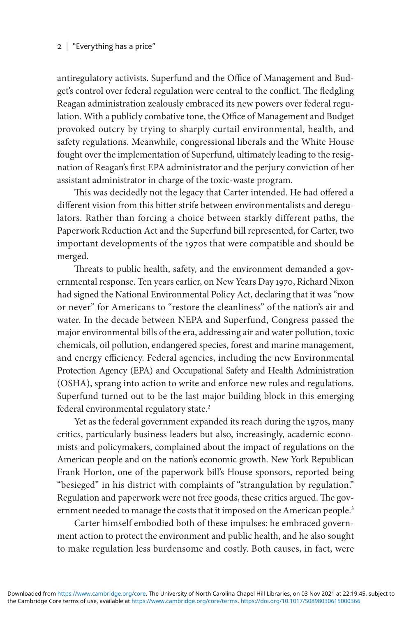antiregulatory activists. Superfund and the Office of Management and Budget's control over federal regulation were central to the conflict. The fledgling Reagan administration zealously embraced its new powers over federal regulation. With a publicly combative tone, the Office of Management and Budget provoked outcry by trying to sharply curtail environmental, health, and safety regulations. Meanwhile, congressional liberals and the White House fought over the implementation of Superfund, ultimately leading to the resignation of Reagan's first EPA administrator and the perjury conviction of her assistant administrator in charge of the toxic-waste program.

This was decidedly not the legacy that Carter intended. He had offered a different vision from this bitter strife between environmentalists and deregulators. Rather than forcing a choice between starkly different paths, the Paperwork Reduction Act and the Superfund bill represented, for Carter, two important developments of the 1970s that were compatible and should be merged.

Threats to public health, safety, and the environment demanded a governmental response. Ten years earlier, on New Years Day 1970, Richard Nixon had signed the National Environmental Policy Act, declaring that it was "now or never" for Americans to "restore the cleanliness" of the nation's air and water. In the decade between NEPA and Superfund, Congress passed the major environmental bills of the era, addressing air and water pollution, toxic chemicals, oil pollution, endangered species, forest and marine management, and energy efficiency. Federal agencies, including the new Environmental Protection Agency (EPA) and Occupational Safety and Health Administration (OSHA), sprang into action to write and enforce new rules and regulations. Superfund turned out to be the last major building block in this emerging federal environmental regulatory state.<sup>2</sup>

 Yet as the federal government expanded its reach during the 1970s, many critics, particularly business leaders but also, increasingly, academic economists and policymakers, complained about the impact of regulations on the American people and on the nation's economic growth. New York Republican Frank Horton, one of the paperwork bill's House sponsors, reported being "besieged" in his district with complaints of "strangulation by regulation." Regulation and paperwork were not free goods, these critics argued. The government needed to manage the costs that it imposed on the American people.<sup>3</sup>

 Carter himself embodied both of these impulses: he embraced government action to protect the environment and public health, and he also sought to make regulation less burdensome and costly. Both causes, in fact, were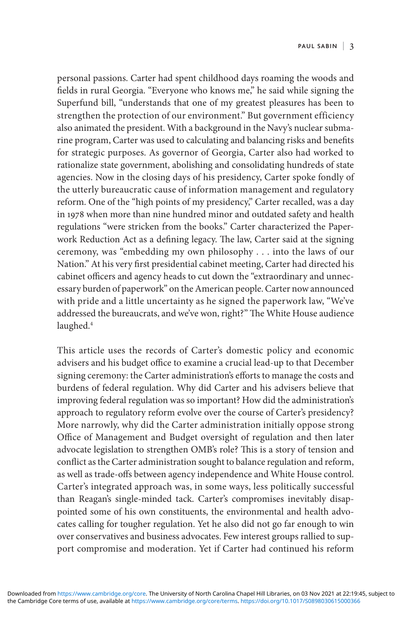personal passions. Carter had spent childhood days roaming the woods and fields in rural Georgia. "Everyone who knows me," he said while signing the Superfund bill, "understands that one of my greatest pleasures has been to strengthen the protection of our environment." But government efficiency also animated the president. With a background in the Navy's nuclear submarine program, Carter was used to calculating and balancing risks and benefits for strategic purposes. As governor of Georgia, Carter also had worked to rationalize state government, abolishing and consolidating hundreds of state agencies. Now in the closing days of his presidency, Carter spoke fondly of the utterly bureaucratic cause of information management and regulatory reform. One of the "high points of my presidency," Carter recalled, was a day in 1978 when more than nine hundred minor and outdated safety and health regulations "were stricken from the books." Carter characterized the Paperwork Reduction Act as a defining legacy. The law, Carter said at the signing ceremony, was "embedding my own philosophy . . . into the laws of our Nation." At his very first presidential cabinet meeting, Carter had directed his cabinet officers and agency heads to cut down the "extraordinary and unnecessary burden of paperwork" on the American people. Carter now announced with pride and a little uncertainty as he signed the paperwork law, "We've addressed the bureaucrats, and we've won, right?" The White House audience laughed.<sup>4</sup>

 This article uses the records of Carter's domestic policy and economic advisers and his budget office to examine a crucial lead-up to that December signing ceremony: the Carter administration's efforts to manage the costs and burdens of federal regulation. Why did Carter and his advisers believe that improving federal regulation was so important? How did the administration's approach to regulatory reform evolve over the course of Carter's presidency? More narrowly, why did the Carter administration initially oppose strong Office of Management and Budget oversight of regulation and then later advocate legislation to strengthen OMB's role? This is a story of tension and conflict as the Carter administration sought to balance regulation and reform, as well as trade-offs between agency independence and White House control. Carter's integrated approach was, in some ways, less politically successful than Reagan's single-minded tack. Carter's compromises inevitably disappointed some of his own constituents, the environmental and health advocates calling for tougher regulation. Yet he also did not go far enough to win over conservatives and business advocates. Few interest groups rallied to support compromise and moderation. Yet if Carter had continued his reform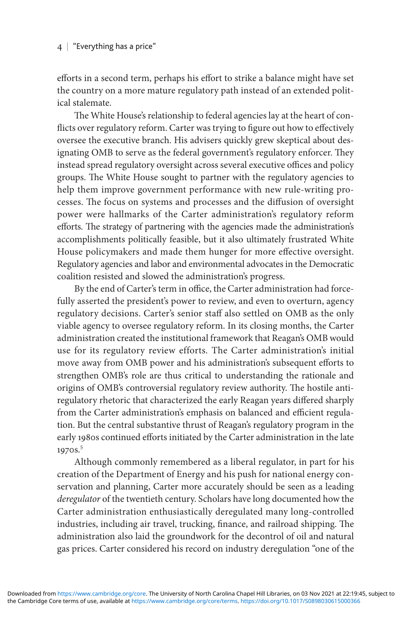efforts in a second term, perhaps his effort to strike a balance might have set the country on a more mature regulatory path instead of an extended political stalemate.

The White House's relationship to federal agencies lay at the heart of conflicts over regulatory reform. Carter was trying to figure out how to effectively oversee the executive branch. His advisers quickly grew skeptical about designating OMB to serve as the federal government's regulatory enforcer. They instead spread regulatory oversight across several executive offices and policy groups. The White House sought to partner with the regulatory agencies to help them improve government performance with new rule-writing processes. The focus on systems and processes and the diffusion of oversight power were hallmarks of the Carter administration's regulatory reform efforts. The strategy of partnering with the agencies made the administration's accomplishments politically feasible, but it also ultimately frustrated White House policymakers and made them hunger for more effective oversight. Regulatory agencies and labor and environmental advocates in the Democratic coalition resisted and slowed the administration's progress.

By the end of Carter's term in office, the Carter administration had forcefully asserted the president's power to review, and even to overturn, agency regulatory decisions. Carter's senior staff also settled on OMB as the only viable agency to oversee regulatory reform. In its closing months, the Carter administration created the institutional framework that Reagan's OMB would use for its regulatory review efforts. The Carter administration's initial move away from OMB power and his administration's subsequent efforts to strengthen OMB's role are thus critical to understanding the rationale and origins of OMB's controversial regulatory review authority. The hostile antiregulatory rhetoric that characterized the early Reagan years differed sharply from the Carter administration's emphasis on balanced and efficient regulation. But the central substantive thrust of Reagan's regulatory program in the early 1980s continued efforts initiated by the Carter administration in the late 1970s.<sup>5</sup>

 Although commonly remembered as a liberal regulator, in part for his creation of the Department of Energy and his push for national energy conservation and planning, Carter more accurately should be seen as a leading *deregulator* of the twentieth century. Scholars have long documented how the Carter administration enthusiastically deregulated many long-controlled industries, including air travel, trucking, finance, and railroad shipping. The administration also laid the groundwork for the decontrol of oil and natural gas prices. Carter considered his record on industry deregulation "one of the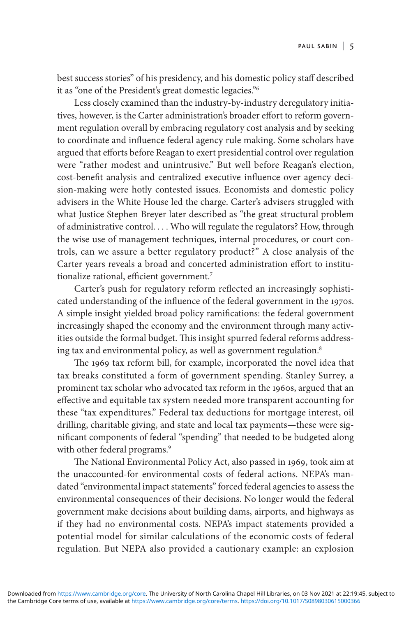best success stories" of his presidency, and his domestic policy staff described it as "one of the President's great domestic legacies."<sup>6</sup>

 Less closely examined than the industry-by-industry deregulatory initiatives, however, is the Carter administration's broader effort to reform government regulation overall by embracing regulatory cost analysis and by seeking to coordinate and influence federal agency rule making. Some scholars have argued that efforts before Reagan to exert presidential control over regulation were "rather modest and unintrusive." But well before Reagan's election, cost-benefit analysis and centralized executive influence over agency decision-making were hotly contested issues. Economists and domestic policy advisers in the White House led the charge. Carter's advisers struggled with what Justice Stephen Breyer later described as "the great structural problem of administrative control. . . . Who will regulate the regulators? How, through the wise use of management techniques, internal procedures, or court controls, can we assure a better regulatory product?" A close analysis of the Carter years reveals a broad and concerted administration effort to institutionalize rational, efficient government.<sup>7</sup>

Carter's push for regulatory reform reflected an increasingly sophisticated understanding of the influence of the federal government in the 1970s. A simple insight yielded broad policy ramifications: the federal government increasingly shaped the economy and the environment through many activities outside the formal budget. This insight spurred federal reforms addressing tax and environmental policy, as well as government regulation.<sup>8</sup>

The 1969 tax reform bill, for example, incorporated the novel idea that tax breaks constituted a form of government spending. Stanley Surrey, a prominent tax scholar who advocated tax reform in the 1960s, argued that an effective and equitable tax system needed more transparent accounting for these "tax expenditures." Federal tax deductions for mortgage interest, oil drilling, charitable giving, and state and local tax payments—these were significant components of federal "spending" that needed to be budgeted along with other federal programs.<sup>9</sup>

The National Environmental Policy Act, also passed in 1969, took aim at the unaccounted-for environmental costs of federal actions. NEPA's mandated "environmental impact statements" forced federal agencies to assess the environmental consequences of their decisions. No longer would the federal government make decisions about building dams, airports, and highways as if they had no environmental costs. NEPA's impact statements provided a potential model for similar calculations of the economic costs of federal regulation. But NEPA also provided a cautionary example: an explosion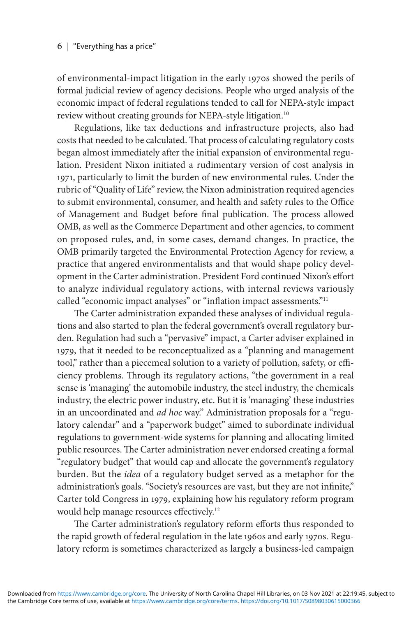of environmental-impact litigation in the early 1970s showed the perils of formal judicial review of agency decisions. People who urged analysis of the economic impact of federal regulations tended to call for NEPA-style impact review without creating grounds for NEPA-style litigation. 10

 Regulations, like tax deductions and infrastructure projects, also had costs that needed to be calculated. That process of calculating regulatory costs began almost immediately after the initial expansion of environmental regulation. President Nixon initiated a rudimentary version of cost analysis in 1971, particularly to limit the burden of new environmental rules. Under the rubric of "Quality of Life" review, the Nixon administration required agencies to submit environmental, consumer, and health and safety rules to the Office of Management and Budget before final publication. The process allowed OMB, as well as the Commerce Department and other agencies, to comment on proposed rules, and, in some cases, demand changes. In practice, the OMB primarily targeted the Environmental Protection Agency for review, a practice that angered environmentalists and that would shape policy development in the Carter administration. President Ford continued Nixon's effort to analyze individual regulatory actions, with internal reviews variously called "economic impact analyses" or "inflation impact assessments."<sup>11</sup>

The Carter administration expanded these analyses of individual regulations and also started to plan the federal government's overall regulatory burden. Regulation had such a "pervasive" impact, a Carter adviser explained in 1979, that it needed to be reconceptualized as a "planning and management tool," rather than a piecemeal solution to a variety of pollution, safety, or efficiency problems. Through its regulatory actions, "the government in a real sense is 'managing' the automobile industry, the steel industry, the chemicals industry, the electric power industry, etc. But it is 'managing' these industries in an uncoordinated and *ad hoc* way." Administration proposals for a "regulatory calendar" and a "paperwork budget" aimed to subordinate individual regulations to government-wide systems for planning and allocating limited public resources. The Carter administration never endorsed creating a formal "regulatory budget" that would cap and allocate the government's regulatory burden. But the *idea* of a regulatory budget served as a metaphor for the administration's goals. "Society's resources are vast, but they are not infinite," Carter told Congress in 1979, explaining how his regulatory reform program would help manage resources effectively.<sup>12</sup>

The Carter administration's regulatory reform efforts thus responded to the rapid growth of federal regulation in the late 1960s and early 1970s. Regulatory reform is sometimes characterized as largely a business-led campaign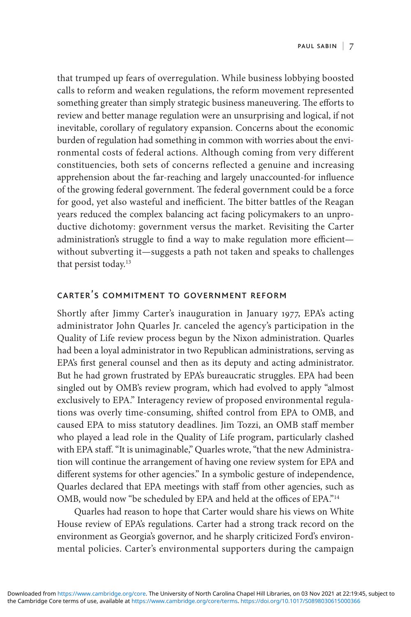that trumped up fears of overregulation. While business lobbying boosted calls to reform and weaken regulations, the reform movement represented something greater than simply strategic business maneuvering. The efforts to review and better manage regulation were an unsurprising and logical, if not inevitable, corollary of regulatory expansion. Concerns about the economic burden of regulation had something in common with worries about the environmental costs of federal actions. Although coming from very different constituencies, both sets of concerns reflected a genuine and increasing apprehension about the far-reaching and largely unaccounted-for influence of the growing federal government. The federal government could be a force for good, yet also wasteful and inefficient. The bitter battles of the Reagan years reduced the complex balancing act facing policymakers to an unproductive dichotomy: government versus the market. Revisiting the Carter administration's struggle to find a way to make regulation more efficientwithout subverting it—suggests a path not taken and speaks to challenges that persist today.<sup>13</sup>

# CARTER'S COMMITMENT TO GOVERNMENT REFORM

 Shortly after Jimmy Carter's inauguration in January 1977, EPA's acting administrator John Quarles Jr. canceled the agency's participation in the Quality of Life review process begun by the Nixon administration. Quarles had been a loyal administrator in two Republican administrations, serving as EPA's first general counsel and then as its deputy and acting administrator. But he had grown frustrated by EPA's bureaucratic struggles. EPA had been singled out by OMB's review program, which had evolved to apply "almost exclusively to EPA." Interagency review of proposed environmental regulations was overly time-consuming, shifted control from EPA to OMB, and caused EPA to miss statutory deadlines. Jim Tozzi, an OMB staff member who played a lead role in the Quality of Life program, particularly clashed with EPA staff. "It is unimaginable," Quarles wrote, "that the new Administration will continue the arrangement of having one review system for EPA and different systems for other agencies." In a symbolic gesture of independence, Quarles declared that EPA meetings with staff from other agencies, such as OMB, would now "be scheduled by EPA and held at the offices of EPA."<sup>14</sup>

 Quarles had reason to hope that Carter would share his views on White House review of EPA's regulations. Carter had a strong track record on the environment as Georgia's governor, and he sharply criticized Ford's environmental policies. Carter's environmental supporters during the campaign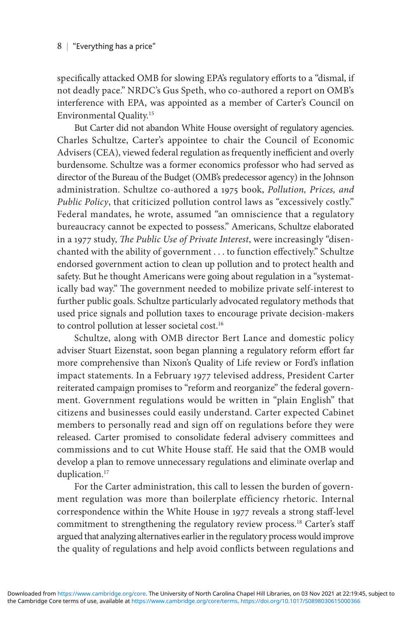specifically attacked OMB for slowing EPA's regulatory efforts to a "dismal, if not deadly pace." NRDC's Gus Speth, who co-authored a report on OMB's interference with EPA, was appointed as a member of Carter's Council on Environmental Quality. 15

 But Carter did not abandon White House oversight of regulatory agencies. Charles Schultze, Carter's appointee to chair the Council of Economic Advisers (CEA), viewed federal regulation as frequently inefficient and overly burdensome. Schultze was a former economics professor who had served as director of the Bureau of the Budget (OMB's predecessor agency) in the Johnson administration. Schultze co-authored a 1975 book, *Pollution, Prices, and Public Policy* , that criticized pollution control laws as "excessively costly." Federal mandates, he wrote, assumed "an omniscience that a regulatory bureaucracy cannot be expected to possess." Americans, Schultze elaborated in a 1977 study, *The Public Use of Private Interest*, were increasingly "disenchanted with the ability of government . . . to function effectively." Schultze endorsed government action to clean up pollution and to protect health and safety. But he thought Americans were going about regulation in a "systematically bad way." The government needed to mobilize private self-interest to further public goals. Schultze particularly advocated regulatory methods that used price signals and pollution taxes to encourage private decision-makers to control pollution at lesser societal cost.<sup>16</sup>

 Schultze, along with OMB director Bert Lance and domestic policy adviser Stuart Eizenstat, soon began planning a regulatory reform effort far more comprehensive than Nixon's Quality of Life review or Ford's inflation impact statements. In a February 1977 televised address, President Carter reiterated campaign promises to "reform and reorganize" the federal government. Government regulations would be written in "plain English" that citizens and businesses could easily understand. Carter expected Cabinet members to personally read and sign off on regulations before they were released. Carter promised to consolidate federal advisery committees and commissions and to cut White House staff. He said that the OMB would develop a plan to remove unnecessary regulations and eliminate overlap and duplication.<sup>17</sup>

 For the Carter administration, this call to lessen the burden of government regulation was more than boilerplate efficiency rhetoric. Internal correspondence within the White House in 1977 reveals a strong staff -level commitment to strengthening the regulatory review process.<sup>18</sup> Carter's staff argued that analyzing alternatives earlier in the regulatory process would improve the quality of regulations and help avoid conflicts between regulations and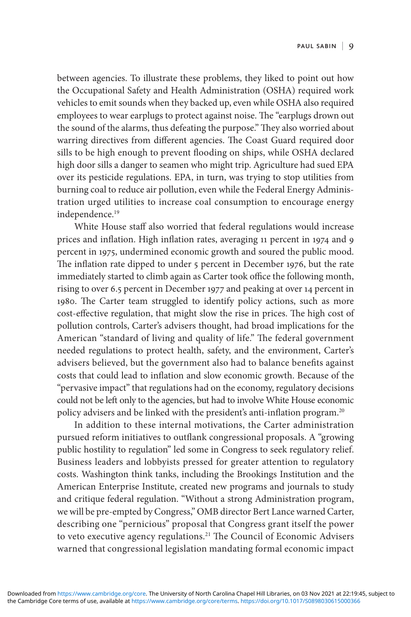between agencies. To illustrate these problems, they liked to point out how the Occupational Safety and Health Administration (OSHA) required work vehicles to emit sounds when they backed up, even while OSHA also required employees to wear earplugs to protect against noise. The "earplugs drown out the sound of the alarms, thus defeating the purpose." They also worried about warring directives from different agencies. The Coast Guard required door sills to be high enough to prevent flooding on ships, while OSHA declared high door sills a danger to seamen who might trip. Agriculture had sued EPA over its pesticide regulations. EPA, in turn, was trying to stop utilities from burning coal to reduce air pollution, even while the Federal Energy Administration urged utilities to increase coal consumption to encourage energy independence.<sup>19</sup>

 White House staff also worried that federal regulations would increase prices and inflation. High inflation rates, averaging 11 percent in 1974 and 9 percent in 1975, undermined economic growth and soured the public mood. The inflation rate dipped to under 5 percent in December 1976, but the rate immediately started to climb again as Carter took office the following month, rising to over 6.5 percent in December 1977 and peaking at over 14 percent in 1980. The Carter team struggled to identify policy actions, such as more cost-effective regulation, that might slow the rise in prices. The high cost of pollution controls, Carter's advisers thought, had broad implications for the American "standard of living and quality of life." The federal government needed regulations to protect health, safety, and the environment, Carter's advisers believed, but the government also had to balance benefits against costs that could lead to inflation and slow economic growth. Because of the "pervasive impact" that regulations had on the economy, regulatory decisions could not be left only to the agencies, but had to involve White House economic policy advisers and be linked with the president's anti-inflation program.<sup>20</sup>

 In addition to these internal motivations, the Carter administration pursued reform initiatives to outflank congressional proposals. A "growing public hostility to regulation" led some in Congress to seek regulatory relief. Business leaders and lobbyists pressed for greater attention to regulatory costs. Washington think tanks, including the Brookings Institution and the American Enterprise Institute, created new programs and journals to study and critique federal regulation. "Without a strong Administration program, we will be pre-empted by Congress," OMB director Bert Lance warned Carter, describing one "pernicious" proposal that Congress grant itself the power to veto executive agency regulations.<sup>21</sup> The Council of Economic Advisers warned that congressional legislation mandating formal economic impact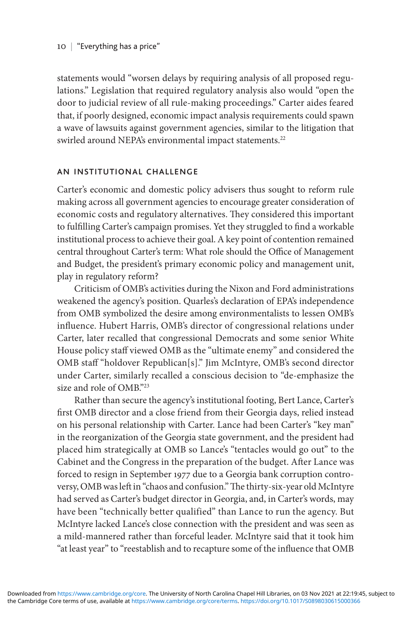statements would "worsen delays by requiring analysis of all proposed regulations." Legislation that required regulatory analysis also would "open the door to judicial review of all rule-making proceedings." Carter aides feared that, if poorly designed, economic impact analysis requirements could spawn a wave of lawsuits against government agencies, similar to the litigation that swirled around NEPA's environmental impact statements.<sup>22</sup>

# AN INSTITUTIONAL CHALLENGE

 Carter's economic and domestic policy advisers thus sought to reform rule making across all government agencies to encourage greater consideration of economic costs and regulatory alternatives. They considered this important to fulfilling Carter's campaign promises. Yet they struggled to find a workable institutional process to achieve their goal. A key point of contention remained central throughout Carter's term: What role should the Office of Management and Budget, the president's primary economic policy and management unit, play in regulatory reform?

 Criticism of OMB's activities during the Nixon and Ford administrations weakened the agency's position. Quarles's declaration of EPA's independence from OMB symbolized the desire among environmentalists to lessen OMB's influence. Hubert Harris, OMB's director of congressional relations under Carter, later recalled that congressional Democrats and some senior White House policy staff viewed OMB as the "ultimate enemy" and considered the OMB staff "holdover Republican[s]." Jim McIntyre, OMB's second director under Carter, similarly recalled a conscious decision to "de-emphasize the size and role of OMB."23

 Rather than secure the agency's institutional footing, Bert Lance, Carter's first OMB director and a close friend from their Georgia days, relied instead on his personal relationship with Carter. Lance had been Carter's "key man" in the reorganization of the Georgia state government, and the president had placed him strategically at OMB so Lance's "tentacles would go out" to the Cabinet and the Congress in the preparation of the budget. After Lance was forced to resign in September 1977 due to a Georgia bank corruption controversy, OMB was left in "chaos and confusion." The thirty-six-year old McIntyre had served as Carter's budget director in Georgia, and, in Carter's words, may have been "technically better qualified" than Lance to run the agency. But McIntyre lacked Lance's close connection with the president and was seen as a mild-mannered rather than forceful leader. McIntyre said that it took him "at least year" to "reestablish and to recapture some of the influence that OMB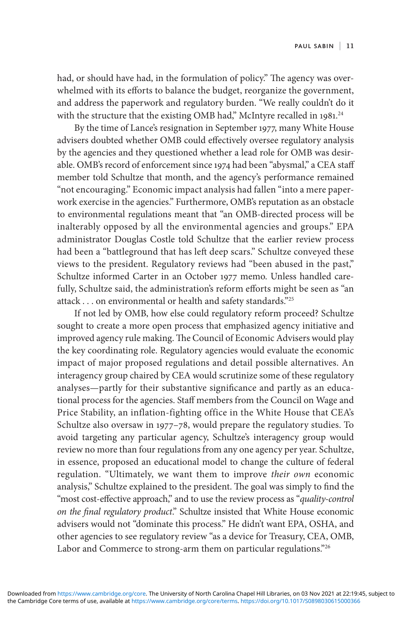had, or should have had, in the formulation of policy." The agency was overwhelmed with its efforts to balance the budget, reorganize the government, and address the paperwork and regulatory burden. "We really couldn't do it with the structure that the existing OMB had," McIntyre recalled in 1981.<sup>24</sup>

 By the time of Lance's resignation in September 1977, many White House advisers doubted whether OMB could effectively oversee regulatory analysis by the agencies and they questioned whether a lead role for OMB was desirable. OMB's record of enforcement since 1974 had been "abysmal," a CEA staff member told Schultze that month, and the agency's performance remained "not encouraging." Economic impact analysis had fallen "into a mere paperwork exercise in the agencies." Furthermore, OMB's reputation as an obstacle to environmental regulations meant that "an OMB-directed process will be inalterably opposed by all the environmental agencies and groups." EPA administrator Douglas Costle told Schultze that the earlier review process had been a "battleground that has left deep scars." Schultze conveyed these views to the president. Regulatory reviews had "been abused in the past," Schultze informed Carter in an October 1977 memo. Unless handled carefully, Schultze said, the administration's reform efforts might be seen as "an attack . . . on environmental or health and safety standards."<sup>25</sup>

 If not led by OMB, how else could regulatory reform proceed? Schultze sought to create a more open process that emphasized agency initiative and improved agency rule making. The Council of Economic Advisers would play the key coordinating role. Regulatory agencies would evaluate the economic impact of major proposed regulations and detail possible alternatives. An interagency group chaired by CEA would scrutinize some of these regulatory analyses—partly for their substantive significance and partly as an educational process for the agencies. Staff members from the Council on Wage and Price Stability, an inflation-fighting office in the White House that CEA's Schultze also oversaw in 1977–78, would prepare the regulatory studies. To avoid targeting any particular agency, Schultze's interagency group would review no more than four regulations from any one agency per year. Schultze, in essence, proposed an educational model to change the culture of federal regulation. "Ultimately, we want them to improve *their own* economic analysis," Schultze explained to the president. The goal was simply to find the "most cost-effective approach," and to use the review process as "*quality-control on the final regulatory product*." Schultze insisted that White House economic advisers would not "dominate this process." He didn't want EPA, OSHA, and other agencies to see regulatory review "as a device for Treasury, CEA, OMB, Labor and Commerce to strong-arm them on particular regulations."26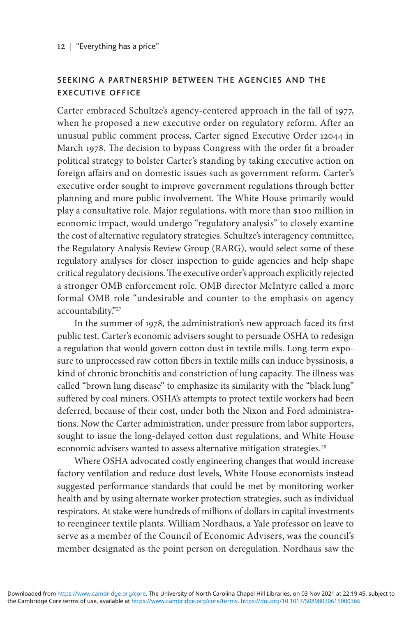# SEEKING A PARTNERSHIP BETWEEN THE AGENCIES AND THE EXECUTIVE OFFICE

 Carter embraced Schultze's agency-centered approach in the fall of 1977, when he proposed a new executive order on regulatory reform. After an unusual public comment process, Carter signed Executive Order 12044 in March 1978. The decision to bypass Congress with the order fit a broader political strategy to bolster Carter's standing by taking executive action on foreign affairs and on domestic issues such as government reform. Carter's executive order sought to improve government regulations through better planning and more public involvement. The White House primarily would play a consultative role. Major regulations, with more than \$100 million in economic impact, would undergo "regulatory analysis" to closely examine the cost of alternative regulatory strategies. Schultze's interagency committee, the Regulatory Analysis Review Group (RARG), would select some of these regulatory analyses for closer inspection to guide agencies and help shape critical regulatory decisions. The executive order's approach explicitly rejected a stronger OMB enforcement role. OMB director McIntyre called a more formal OMB role "undesirable and counter to the emphasis on agency accountability."27

In the summer of 1978, the administration's new approach faced its first public test. Carter's economic advisers sought to persuade OSHA to redesign a regulation that would govern cotton dust in textile mills. Long-term exposure to unprocessed raw cotton fibers in textile mills can induce byssinosis, a kind of chronic bronchitis and constriction of lung capacity. The illness was called "brown lung disease" to emphasize its similarity with the "black lung" suffered by coal miners. OSHA's attempts to protect textile workers had been deferred, because of their cost, under both the Nixon and Ford administrations. Now the Carter administration, under pressure from labor supporters, sought to issue the long-delayed cotton dust regulations, and White House economic advisers wanted to assess alternative mitigation strategies. 28

 Where OSHA advocated costly engineering changes that would increase factory ventilation and reduce dust levels, White House economists instead suggested performance standards that could be met by monitoring worker health and by using alternate worker protection strategies, such as individual respirators. At stake were hundreds of millions of dollars in capital investments to reengineer textile plants. William Nordhaus, a Yale professor on leave to serve as a member of the Council of Economic Advisers, was the council's member designated as the point person on deregulation. Nordhaus saw the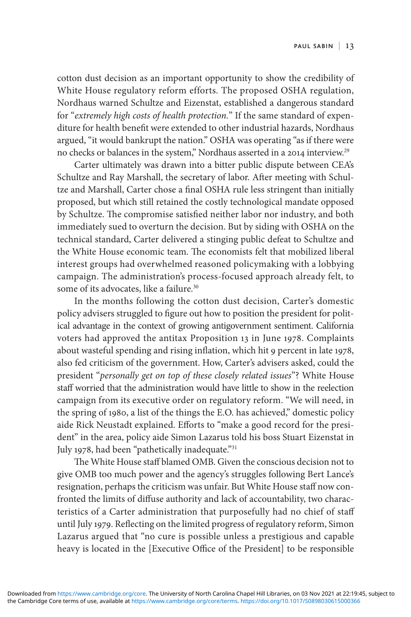cotton dust decision as an important opportunity to show the credibility of White House regulatory reform efforts. The proposed OSHA regulation, Nordhaus warned Schultze and Eizenstat, established a dangerous standard for "extremely high costs of health protection." If the same standard of expenditure for health benefit were extended to other industrial hazards, Nordhaus argued, "it would bankrupt the nation." OSHA was operating "as if there were no checks or balances in the system," Nordhaus asserted in a 2014 interview. 29

 Carter ultimately was drawn into a bitter public dispute between CEA's Schultze and Ray Marshall, the secretary of labor. After meeting with Schultze and Marshall, Carter chose a final OSHA rule less stringent than initially proposed, but which still retained the costly technological mandate opposed by Schultze. The compromise satisfied neither labor nor industry, and both immediately sued to overturn the decision. But by siding with OSHA on the technical standard, Carter delivered a stinging public defeat to Schultze and the White House economic team. The economists felt that mobilized liberal interest groups had overwhelmed reasoned policymaking with a lobbying campaign. The administration's process-focused approach already felt, to some of its advocates, like a failure.<sup>30</sup>

 In the months following the cotton dust decision, Carter's domestic policy advisers struggled to figure out how to position the president for political advantage in the context of growing antigovernment sentiment. California voters had approved the antitax Proposition 13 in June 1978. Complaints about wasteful spending and rising inflation, which hit 9 percent in late 1978, also fed criticism of the government. How, Carter's advisers asked, could the president " *personally get on top of these closely related issues* "? White House staff worried that the administration would have little to show in the reelection campaign from its executive order on regulatory reform. "We will need, in the spring of 1980, a list of the things the E.O. has achieved," domestic policy aide Rick Neustadt explained. Efforts to "make a good record for the president" in the area, policy aide Simon Lazarus told his boss Stuart Eizenstat in July 1978, had been "pathetically inadequate."<sup>31</sup>

The White House staff blamed OMB. Given the conscious decision not to give OMB too much power and the agency's struggles following Bert Lance's resignation, perhaps the criticism was unfair. But White House staff now confronted the limits of diffuse authority and lack of accountability, two characteristics of a Carter administration that purposefully had no chief of staff until July 1979. Reflecting on the limited progress of regulatory reform, Simon Lazarus argued that "no cure is possible unless a prestigious and capable heavy is located in the [Executive Office of the President] to be responsible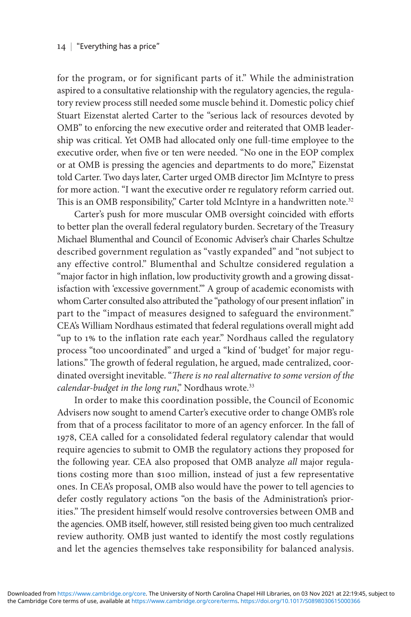for the program, or for significant parts of it." While the administration aspired to a consultative relationship with the regulatory agencies, the regulatory review process still needed some muscle behind it. Domestic policy chief Stuart Eizenstat alerted Carter to the "serious lack of resources devoted by OMB" to enforcing the new executive order and reiterated that OMB leadership was critical. Yet OMB had allocated only one full-time employee to the executive order, when five or ten were needed. "No one in the EOP complex or at OMB is pressing the agencies and departments to do more," Eizenstat told Carter. Two days later, Carter urged OMB director Jim McIntyre to press for more action. "I want the executive order re regulatory reform carried out. This is an OMB responsibility," Carter told McIntyre in a handwritten note.<sup>32</sup>

Carter's push for more muscular OMB oversight coincided with efforts to better plan the overall federal regulatory burden. Secretary of the Treasury Michael Blumenthal and Council of Economic Adviser's chair Charles Schultze described government regulation as "vastly expanded" and "not subject to any effective control." Blumenthal and Schultze considered regulation a "major factor in high inflation, low productivity growth and a growing dissatisfaction with 'excessive government.'" A group of academic economists with whom Carter consulted also attributed the "pathology of our present inflation" in part to the "impact of measures designed to safeguard the environment." CEA's William Nordhaus estimated that federal regulations overall might add "up to 1% to the inflation rate each year." Nordhaus called the regulatory process "too uncoordinated" and urged a "kind of 'budget' for major regulations." The growth of federal regulation, he argued, made centralized, coordinated oversight inevitable. "*There is no real alternative to some version of the calendar-budget in the long run*," Nordhaus wrote.<sup>33</sup>

 In order to make this coordination possible, the Council of Economic Advisers now sought to amend Carter's executive order to change OMB's role from that of a process facilitator to more of an agency enforcer. In the fall of 1978, CEA called for a consolidated federal regulatory calendar that would require agencies to submit to OMB the regulatory actions they proposed for the following year. CEA also proposed that OMB analyze *all* major regulations costing more than \$100 million, instead of just a few representative ones. In CEA's proposal, OMB also would have the power to tell agencies to defer costly regulatory actions "on the basis of the Administration's priorities." The president himself would resolve controversies between OMB and the agencies. OMB itself, however, still resisted being given too much centralized review authority. OMB just wanted to identify the most costly regulations and let the agencies themselves take responsibility for balanced analysis.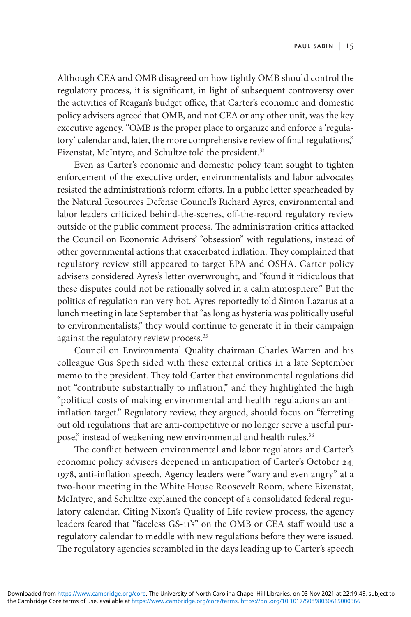Although CEA and OMB disagreed on how tightly OMB should control the regulatory process, it is significant, in light of subsequent controversy over the activities of Reagan's budget office, that Carter's economic and domestic policy advisers agreed that OMB, and not CEA or any other unit, was the key executive agency. "OMB is the proper place to organize and enforce a 'regulatory' calendar and, later, the more comprehensive review of final regulations," Eizenstat, McIntyre, and Schultze told the president. 34

 Even as Carter's economic and domestic policy team sought to tighten enforcement of the executive order, environmentalists and labor advocates resisted the administration's reform efforts. In a public letter spearheaded by the Natural Resources Defense Council's Richard Ayres, environmental and labor leaders criticized behind-the-scenes, off -the-record regulatory review outside of the public comment process. The administration critics attacked the Council on Economic Advisers' "obsession" with regulations, instead of other governmental actions that exacerbated inflation. They complained that regulatory review still appeared to target EPA and OSHA. Carter policy advisers considered Ayres's letter overwrought, and "found it ridiculous that these disputes could not be rationally solved in a calm atmosphere." But the politics of regulation ran very hot. Ayres reportedly told Simon Lazarus at a lunch meeting in late September that "as long as hysteria was politically useful to environmentalists," they would continue to generate it in their campaign against the regulatory review process. 35

 Council on Environmental Quality chairman Charles Warren and his colleague Gus Speth sided with these external critics in a late September memo to the president. They told Carter that environmental regulations did not "contribute substantially to inflation," and they highlighted the high "political costs of making environmental and health regulations an antiinflation target." Regulatory review, they argued, should focus on "ferreting out old regulations that are anti-competitive or no longer serve a useful purpose," instead of weakening new environmental and health rules. 36

The conflict between environmental and labor regulators and Carter's economic policy advisers deepened in anticipation of Carter's October 24, 1978, anti-inflation speech. Agency leaders were "wary and even angry" at a two-hour meeting in the White House Roosevelt Room, where Eizenstat, McIntyre, and Schultze explained the concept of a consolidated federal regulatory calendar. Citing Nixon's Quality of Life review process, the agency leaders feared that "faceless GS-11's" on the OMB or CEA staff would use a regulatory calendar to meddle with new regulations before they were issued. The regulatory agencies scrambled in the days leading up to Carter's speech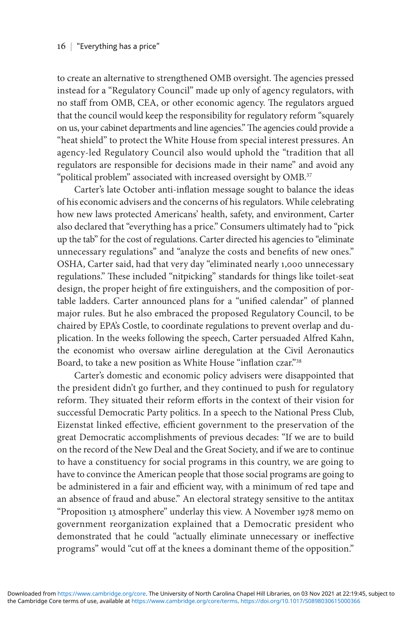to create an alternative to strengthened OMB oversight. The agencies pressed instead for a "Regulatory Council" made up only of agency regulators, with no staff from OMB, CEA, or other economic agency. The regulators argued that the council would keep the responsibility for regulatory reform "squarely on us, your cabinet departments and line agencies." The agencies could provide a "heat shield" to protect the White House from special interest pressures. An agency-led Regulatory Council also would uphold the "tradition that all regulators are responsible for decisions made in their name" and avoid any "political problem" associated with increased oversight by OMB.<sup>37</sup>

Carter's late October anti-inflation message sought to balance the ideas of his economic advisers and the concerns of his regulators. While celebrating how new laws protected Americans' health, safety, and environment, Carter also declared that "everything has a price." Consumers ultimately had to "pick up the tab" for the cost of regulations. Carter directed his agencies to "eliminate unnecessary regulations" and "analyze the costs and benefits of new ones." OSHA, Carter said, had that very day "eliminated nearly 1,000 unnecessary regulations." These included "nitpicking" standards for things like toilet-seat design, the proper height of fire extinguishers, and the composition of portable ladders. Carter announced plans for a "unified calendar" of planned major rules. But he also embraced the proposed Regulatory Council, to be chaired by EPA's Costle, to coordinate regulations to prevent overlap and duplication. In the weeks following the speech, Carter persuaded Alfred Kahn, the economist who oversaw airline deregulation at the Civil Aeronautics Board, to take a new position as White House "inflation czar."<sup>38</sup>

 Carter's domestic and economic policy advisers were disappointed that the president didn't go further, and they continued to push for regulatory reform. They situated their reform efforts in the context of their vision for successful Democratic Party politics. In a speech to the National Press Club, Eizenstat linked effective, efficient government to the preservation of the great Democratic accomplishments of previous decades: "If we are to build on the record of the New Deal and the Great Society, and if we are to continue to have a constituency for social programs in this country, we are going to have to convince the American people that those social programs are going to be administered in a fair and efficient way, with a minimum of red tape and an absence of fraud and abuse." An electoral strategy sensitive to the antitax "Proposition 13 atmosphere" underlay this view. A November 1978 memo on government reorganization explained that a Democratic president who demonstrated that he could "actually eliminate unnecessary or ineffective programs" would "cut off at the knees a dominant theme of the opposition."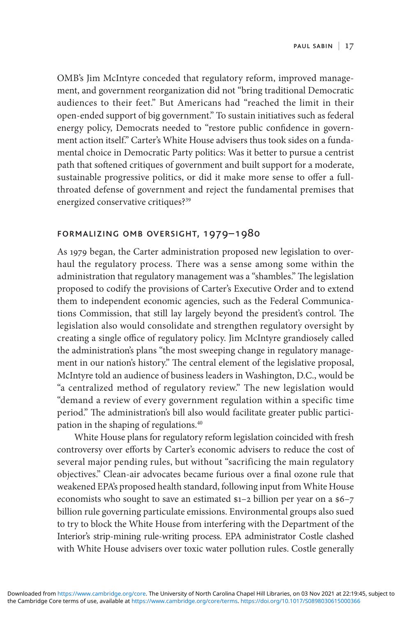OMB's Jim McIntyre conceded that regulatory reform, improved management, and government reorganization did not "bring traditional Democratic audiences to their feet." But Americans had "reached the limit in their open-ended support of big government." To sustain initiatives such as federal energy policy, Democrats needed to "restore public confidence in government action itself." Carter's White House advisers thus took sides on a fundamental choice in Democratic Party politics: Was it better to pursue a centrist path that softened critiques of government and built support for a moderate, sustainable progressive politics, or did it make more sense to offer a fullthroated defense of government and reject the fundamental premises that energized conservative critiques?<sup>39</sup>

# FORMALIZING OMB OVERSIGHT, 1979-1980

 As 1979 began, the Carter administration proposed new legislation to overhaul the regulatory process. There was a sense among some within the administration that regulatory management was a "shambles." The legislation proposed to codify the provisions of Carter's Executive Order and to extend them to independent economic agencies, such as the Federal Communications Commission, that still lay largely beyond the president's control. The legislation also would consolidate and strengthen regulatory oversight by creating a single office of regulatory policy. Jim McIntyre grandiosely called the administration's plans "the most sweeping change in regulatory management in our nation's history." The central element of the legislative proposal, McIntyre told an audience of business leaders in Washington, D.C., would be "a centralized method of regulatory review." The new legislation would "demand a review of every government regulation within a specific time period." The administration's bill also would facilitate greater public participation in the shaping of regulations. 40

 White House plans for regulatory reform legislation coincided with fresh controversy over efforts by Carter's economic advisers to reduce the cost of several major pending rules, but without "sacrificing the main regulatory objectives." Clean-air advocates became furious over a final ozone rule that weakened EPA's proposed health standard, following input from White House economists who sought to save an estimated  $$1-2$  billion per year on a  $$6-7$ billion rule governing particulate emissions. Environmental groups also sued to try to block the White House from interfering with the Department of the Interior's strip-mining rule-writing process. EPA administrator Costle clashed with White House advisers over toxic water pollution rules. Costle generally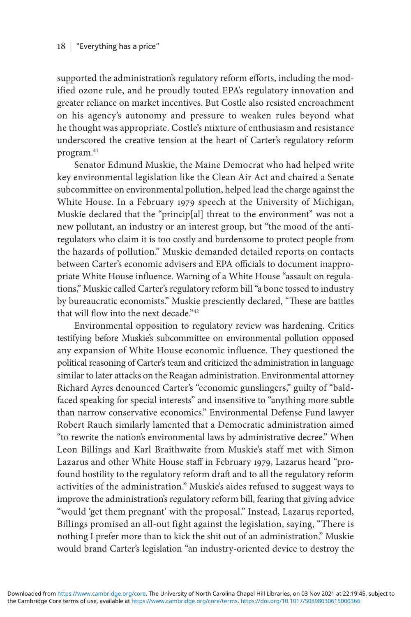supported the administration's regulatory reform efforts, including the modified ozone rule, and he proudly touted EPA's regulatory innovation and greater reliance on market incentives. But Costle also resisted encroachment on his agency's autonomy and pressure to weaken rules beyond what he thought was appropriate. Costle's mixture of enthusiasm and resistance underscored the creative tension at the heart of Carter's regulatory reform program. 41

 Senator Edmund Muskie, the Maine Democrat who had helped write key environmental legislation like the Clean Air Act and chaired a Senate subcommittee on environmental pollution, helped lead the charge against the White House. In a February 1979 speech at the University of Michigan, Muskie declared that the "princip[al] threat to the environment" was not a new pollutant, an industry or an interest group, but "the mood of the antiregulators who claim it is too costly and burdensome to protect people from the hazards of pollution." Muskie demanded detailed reports on contacts between Carter's economic advisers and EPA officials to document inappropriate White House influence. Warning of a White House "assault on regulations," Muskie called Carter's regulatory reform bill "a bone tossed to industry by bureaucratic economists." Muskie presciently declared, "These are battles that will flow into the next decade."<sup>42</sup>

 Environmental opposition to regulatory review was hardening. Critics testifying before Muskie's subcommittee on environmental pollution opposed any expansion of White House economic influence. They questioned the political reasoning of Carter's team and criticized the administration in language similar to later attacks on the Reagan administration. Environmental attorney Richard Ayres denounced Carter's "economic gunslingers," guilty of "baldfaced speaking for special interests" and insensitive to "anything more subtle than narrow conservative economics." Environmental Defense Fund lawyer Robert Rauch similarly lamented that a Democratic administration aimed "to rewrite the nation's environmental laws by administrative decree." When Leon Billings and Karl Braithwaite from Muskie's staff met with Simon Lazarus and other White House staff in February 1979, Lazarus heard "profound hostility to the regulatory reform draft and to all the regulatory reform activities of the administration." Muskie's aides refused to suggest ways to improve the administration's regulatory reform bill, fearing that giving advice "would 'get them pregnant' with the proposal." Instead, Lazarus reported, Billings promised an all-out fight against the legislation, saying, "There is nothing I prefer more than to kick the shit out of an administration." Muskie would brand Carter's legislation "an industry-oriented device to destroy the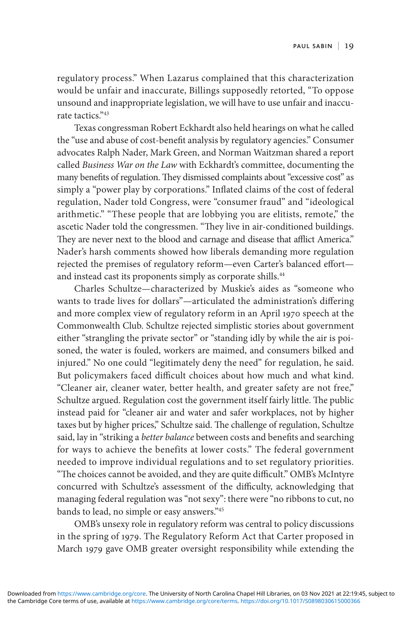regulatory process." When Lazarus complained that this characterization would be unfair and inaccurate, Billings supposedly retorted, "To oppose unsound and inappropriate legislation, we will have to use unfair and inaccurate tactics."43

 Texas congressman Robert Eckhardt also held hearings on what he called the "use and abuse of cost-benefit analysis by regulatory agencies." Consumer advocates Ralph Nader, Mark Green, and Norman Waitzman shared a report called *Business War on the Law* with Eckhardt's committee, documenting the many benefits of regulation. They dismissed complaints about "excessive cost" as simply a "power play by corporations." Inflated claims of the cost of federal regulation, Nader told Congress, were "consumer fraud" and "ideological arithmetic." "These people that are lobbying you are elitists, remote," the ascetic Nader told the congressmen. "They live in air-conditioned buildings. They are never next to the blood and carnage and disease that afflict America." Nader's harsh comments showed how liberals demanding more regulation rejected the premises of regulatory reform—even Carter's balanced effort and instead cast its proponents simply as corporate shills.<sup>44</sup>

 Charles Schultze—characterized by Muskie's aides as "someone who wants to trade lives for dollars"—articulated the administration's differing and more complex view of regulatory reform in an April 1970 speech at the Commonwealth Club. Schultze rejected simplistic stories about government either "strangling the private sector" or "standing idly by while the air is poisoned, the water is fouled, workers are maimed, and consumers bilked and injured." No one could "legitimately deny the need" for regulation, he said. But policymakers faced difficult choices about how much and what kind. "Cleaner air, cleaner water, better health, and greater safety are not free," Schultze argued. Regulation cost the government itself fairly little. The public instead paid for "cleaner air and water and safer workplaces, not by higher taxes but by higher prices," Schultze said. The challenge of regulation, Schultze said, lay in "striking a *better balance* between costs and benefits and searching for ways to achieve the benefits at lower costs." The federal government needed to improve individual regulations and to set regulatory priorities. "The choices cannot be avoided, and they are quite difficult." OMB's McIntyre concurred with Schultze's assessment of the difficulty, acknowledging that managing federal regulation was "not sexy": there were "no ribbons to cut, no bands to lead, no simple or easy answers."<sup>45</sup>

 OMB's unsexy role in regulatory reform was central to policy discussions in the spring of 1979. The Regulatory Reform Act that Carter proposed in March 1979 gave OMB greater oversight responsibility while extending the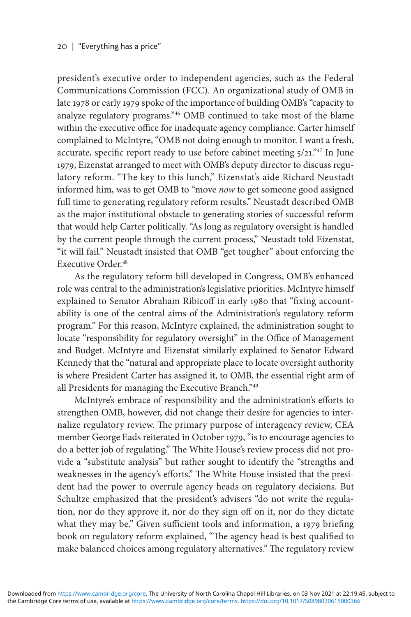president's executive order to independent agencies, such as the Federal Communications Commission (FCC). An organizational study of OMB in late 1978 or early 1979 spoke of the importance of building OMB's "capacity to analyze regulatory programs."46 OMB continued to take most of the blame within the executive office for inadequate agency compliance. Carter himself complained to McIntyre, "OMB not doing enough to monitor. I want a fresh, accurate, specific report ready to use before cabinet meeting  $5/21.^{n_{47}}$  In June 1979, Eizenstat arranged to meet with OMB's deputy director to discuss regulatory reform. "The key to this lunch," Eizenstat's aide Richard Neustadt informed him, was to get OMB to "move *now* to get someone good assigned full time to generating regulatory reform results." Neustadt described OMB as the major institutional obstacle to generating stories of successful reform that would help Carter politically. "As long as regulatory oversight is handled by the current people through the current process," Neustadt told Eizenstat, "it will fail." Neustadt insisted that OMB "get tougher" about enforcing the Executive Order. 48

 As the regulatory reform bill developed in Congress, OMB's enhanced role was central to the administration's legislative priorities. McIntyre himself explained to Senator Abraham Ribicoff in early 1980 that "fixing accountability is one of the central aims of the Administration's regulatory reform program." For this reason, McIntyre explained, the administration sought to locate "responsibility for regulatory oversight" in the Office of Management and Budget. McIntyre and Eizenstat similarly explained to Senator Edward Kennedy that the "natural and appropriate place to locate oversight authority is where President Carter has assigned it, to OMB, the essential right arm of all Presidents for managing the Executive Branch."<sup>49</sup>

McIntyre's embrace of responsibility and the administration's efforts to strengthen OMB, however, did not change their desire for agencies to internalize regulatory review. The primary purpose of interagency review, CEA member George Eads reiterated in October 1979, "is to encourage agencies to do a better job of regulating." The White House's review process did not provide a "substitute analysis" but rather sought to identify the "strengths and weaknesses in the agency's efforts." The White House insisted that the president had the power to overrule agency heads on regulatory decisions. But Schultze emphasized that the president's advisers "do not write the regulation, nor do they approve it, nor do they sign off on it, nor do they dictate what they may be." Given sufficient tools and information, a 1979 briefing book on regulatory reform explained, "The agency head is best qualified to make balanced choices among regulatory alternatives." The regulatory review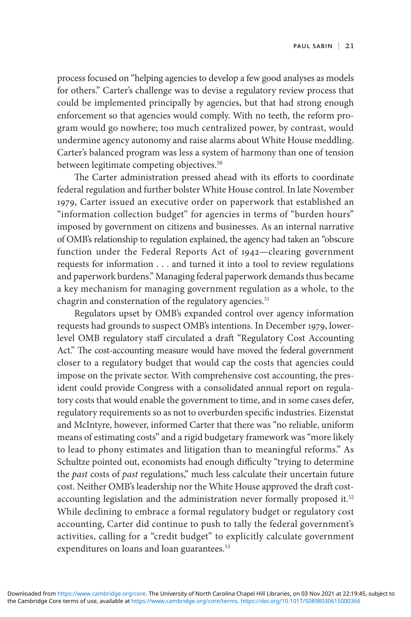process focused on "helping agencies to develop a few good analyses as models for others." Carter's challenge was to devise a regulatory review process that could be implemented principally by agencies, but that had strong enough enforcement so that agencies would comply. With no teeth, the reform program would go nowhere; too much centralized power, by contrast, would undermine agency autonomy and raise alarms about White House meddling. Carter's balanced program was less a system of harmony than one of tension between legitimate competing objectives.<sup>50</sup>

The Carter administration pressed ahead with its efforts to coordinate federal regulation and further bolster White House control. In late November 1979, Carter issued an executive order on paperwork that established an "information collection budget" for agencies in terms of "burden hours" imposed by government on citizens and businesses. As an internal narrative of OMB's relationship to regulation explained, the agency had taken an "obscure function under the Federal Reports Act of 1942—clearing government requests for information . . . and turned it into a tool to review regulations and paperwork burdens." Managing federal paperwork demands thus became a key mechanism for managing government regulation as a whole, to the chagrin and consternation of the regulatory agencies.<sup>51</sup>

 Regulators upset by OMB's expanded control over agency information requests had grounds to suspect OMB's intentions. In December 1979, lowerlevel OMB regulatory staff circulated a draft "Regulatory Cost Accounting Act." The cost-accounting measure would have moved the federal government closer to a regulatory budget that would cap the costs that agencies could impose on the private sector. With comprehensive cost accounting, the president could provide Congress with a consolidated annual report on regulatory costs that would enable the government to time, and in some cases defer, regulatory requirements so as not to overburden specific industries. Eizenstat and McIntyre, however, informed Carter that there was "no reliable, uniform means of estimating costs" and a rigid budgetary framework was "more likely to lead to phony estimates and litigation than to meaningful reforms." As Schultze pointed out, economists had enough difficulty "trying to determine the *past* costs of *past* regulations," much less calculate their uncertain future cost. Neither OMB's leadership nor the White House approved the draft costaccounting legislation and the administration never formally proposed it.<sup>52</sup> While declining to embrace a formal regulatory budget or regulatory cost accounting, Carter did continue to push to tally the federal government's activities, calling for a "credit budget" to explicitly calculate government expenditures on loans and loan guarantees.<sup>53</sup>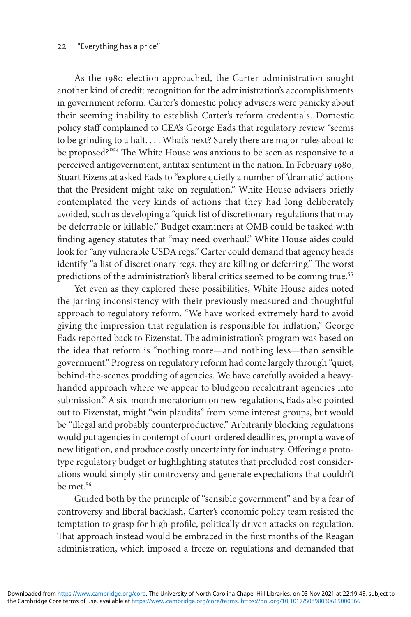As the 1980 election approached, the Carter administration sought another kind of credit: recognition for the administration's accomplishments in government reform. Carter's domestic policy advisers were panicky about their seeming inability to establish Carter's reform credentials. Domestic policy staff complained to CEA's George Eads that regulatory review "seems to be grinding to a halt. . . . What's next? Surely there are major rules about to be proposed?"<sup>54</sup> The White House was anxious to be seen as responsive to a perceived antigovernment, antitax sentiment in the nation. In February 1980, Stuart Eizenstat asked Eads to "explore quietly a number of 'dramatic' actions that the President might take on regulation." White House advisers briefly contemplated the very kinds of actions that they had long deliberately avoided, such as developing a "quick list of discretionary regulations that may be deferrable or killable." Budget examiners at OMB could be tasked with finding agency statutes that "may need overhaul." White House aides could look for "any vulnerable USDA regs." Carter could demand that agency heads identify "a list of discretionary regs. they are killing or deferring." The worst predictions of the administration's liberal critics seemed to be coming true. 55

 Yet even as they explored these possibilities, White House aides noted the jarring inconsistency with their previously measured and thoughtful approach to regulatory reform. "We have worked extremely hard to avoid giving the impression that regulation is responsible for inflation," George Eads reported back to Eizenstat. The administration's program was based on the idea that reform is "nothing more—and nothing less—than sensible government." Progress on regulatory reform had come largely through "quiet, behind-the-scenes prodding of agencies. We have carefully avoided a heavyhanded approach where we appear to bludgeon recalcitrant agencies into submission." A six-month moratorium on new regulations, Eads also pointed out to Eizenstat, might "win plaudits" from some interest groups, but would be "illegal and probably counterproductive." Arbitrarily blocking regulations would put agencies in contempt of court-ordered deadlines, prompt a wave of new litigation, and produce costly uncertainty for industry. Offering a prototype regulatory budget or highlighting statutes that precluded cost considerations would simply stir controversy and generate expectations that couldn't be met.<sup>56</sup>

 Guided both by the principle of "sensible government" and by a fear of controversy and liberal backlash, Carter's economic policy team resisted the temptation to grasp for high profile, politically driven attacks on regulation. That approach instead would be embraced in the first months of the Reagan administration, which imposed a freeze on regulations and demanded that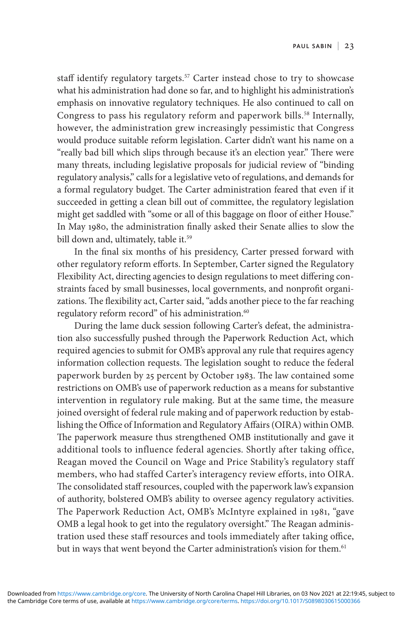staff identify regulatory targets.<sup>57</sup> Carter instead chose to try to showcase what his administration had done so far, and to highlight his administration's emphasis on innovative regulatory techniques. He also continued to call on Congress to pass his regulatory reform and paperwork bills.<sup>58</sup> Internally, however, the administration grew increasingly pessimistic that Congress would produce suitable reform legislation. Carter didn't want his name on a "really bad bill which slips through because it's an election year." There were many threats, including legislative proposals for judicial review of "binding regulatory analysis," calls for a legislative veto of regulations, and demands for a formal regulatory budget. The Carter administration feared that even if it succeeded in getting a clean bill out of committee, the regulatory legislation might get saddled with "some or all of this baggage on floor of either House." In May 1980, the administration finally asked their Senate allies to slow the bill down and, ultimately, table it.<sup>59</sup>

In the final six months of his presidency, Carter pressed forward with other regulatory reform efforts. In September, Carter signed the Regulatory Flexibility Act, directing agencies to design regulations to meet differing constraints faced by small businesses, local governments, and nonprofit organizations. The flexibility act, Carter said, "adds another piece to the far reaching regulatory reform record" of his administration.<sup>60</sup>

 During the lame duck session following Carter's defeat, the administration also successfully pushed through the Paperwork Reduction Act, which required agencies to submit for OMB's approval any rule that requires agency information collection requests. The legislation sought to reduce the federal paperwork burden by 25 percent by October 1983. The law contained some restrictions on OMB's use of paperwork reduction as a means for substantive intervention in regulatory rule making. But at the same time, the measure joined oversight of federal rule making and of paperwork reduction by establishing the Office of Information and Regulatory Affairs (OIRA) within OMB. The paperwork measure thus strengthened OMB institutionally and gave it additional tools to influence federal agencies. Shortly after taking office, Reagan moved the Council on Wage and Price Stability's regulatory staff members, who had staffed Carter's interagency review efforts, into OIRA. The consolidated staff resources, coupled with the paperwork law's expansion of authority, bolstered OMB's ability to oversee agency regulatory activities. The Paperwork Reduction Act, OMB's McIntyre explained in 1981, "gave OMB a legal hook to get into the regulatory oversight." The Reagan administration used these staff resources and tools immediately after taking office, but in ways that went beyond the Carter administration's vision for them.<sup>61</sup>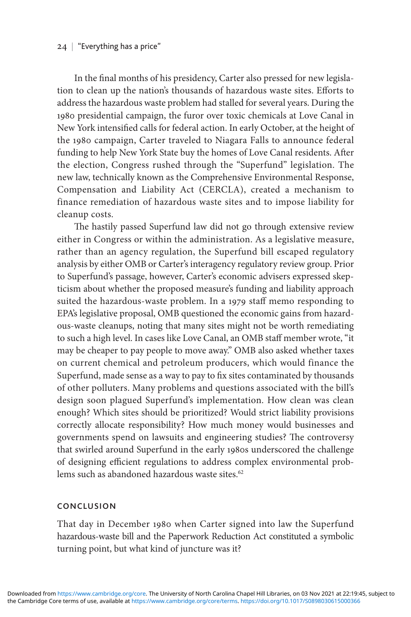In the final months of his presidency, Carter also pressed for new legislation to clean up the nation's thousands of hazardous waste sites. Efforts to address the hazardous waste problem had stalled for several years. During the 1980 presidential campaign, the furor over toxic chemicals at Love Canal in New York intensified calls for federal action. In early October, at the height of the 1980 campaign, Carter traveled to Niagara Falls to announce federal funding to help New York State buy the homes of Love Canal residents. After the election, Congress rushed through the "Superfund" legislation. The new law, technically known as the Comprehensive Environmental Response, Compensation and Liability Act (CERCLA), created a mechanism to finance remediation of hazardous waste sites and to impose liability for cleanup costs.

The hastily passed Superfund law did not go through extensive review either in Congress or within the administration. As a legislative measure, rather than an agency regulation, the Superfund bill escaped regulatory analysis by either OMB or Carter's interagency regulatory review group. Prior to Superfund's passage, however, Carter's economic advisers expressed skepticism about whether the proposed measure's funding and liability approach suited the hazardous-waste problem. In a 1979 staff memo responding to EPA's legislative proposal, OMB questioned the economic gains from hazardous-waste cleanups, noting that many sites might not be worth remediating to such a high level. In cases like Love Canal, an OMB staff member wrote, "it may be cheaper to pay people to move away." OMB also asked whether taxes on current chemical and petroleum producers, which would finance the Superfund, made sense as a way to pay to fix sites contaminated by thousands of other polluters. Many problems and questions associated with the bill's design soon plagued Superfund's implementation. How clean was clean enough? Which sites should be prioritized? Would strict liability provisions correctly allocate responsibility? How much money would businesses and governments spend on lawsuits and engineering studies? The controversy that swirled around Superfund in the early 1980s underscored the challenge of designing efficient regulations to address complex environmental problems such as abandoned hazardous waste sites. 62

#### **CONCLUSION**

 That day in December 1980 when Carter signed into law the Superfund hazardous-waste bill and the Paperwork Reduction Act constituted a symbolic turning point, but what kind of juncture was it?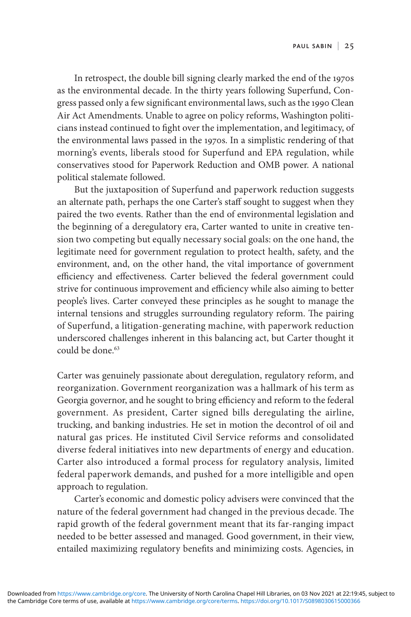In retrospect, the double bill signing clearly marked the end of the 1970s as the environmental decade. In the thirty years following Superfund, Congress passed only a few significant environmental laws, such as the 1990 Clean Air Act Amendments. Unable to agree on policy reforms, Washington politicians instead continued to fight over the implementation, and legitimacy, of the environmental laws passed in the 1970s. In a simplistic rendering of that morning's events, liberals stood for Superfund and EPA regulation, while conservatives stood for Paperwork Reduction and OMB power. A national political stalemate followed.

 But the juxtaposition of Superfund and paperwork reduction suggests an alternate path, perhaps the one Carter's staff sought to suggest when they paired the two events. Rather than the end of environmental legislation and the beginning of a deregulatory era, Carter wanted to unite in creative tension two competing but equally necessary social goals: on the one hand, the legitimate need for government regulation to protect health, safety, and the environment, and, on the other hand, the vital importance of government efficiency and effectiveness. Carter believed the federal government could strive for continuous improvement and efficiency while also aiming to better people's lives. Carter conveyed these principles as he sought to manage the internal tensions and struggles surrounding regulatory reform. The pairing of Superfund, a litigation-generating machine, with paperwork reduction underscored challenges inherent in this balancing act, but Carter thought it could be done.<sup>63</sup>

 Carter was genuinely passionate about deregulation, regulatory reform, and reorganization. Government reorganization was a hallmark of his term as Georgia governor, and he sought to bring efficiency and reform to the federal government. As president, Carter signed bills deregulating the airline, trucking, and banking industries. He set in motion the decontrol of oil and natural gas prices. He instituted Civil Service reforms and consolidated diverse federal initiatives into new departments of energy and education. Carter also introduced a formal process for regulatory analysis, limited federal paperwork demands, and pushed for a more intelligible and open approach to regulation.

 Carter's economic and domestic policy advisers were convinced that the nature of the federal government had changed in the previous decade. The rapid growth of the federal government meant that its far-ranging impact needed to be better assessed and managed. Good government, in their view, entailed maximizing regulatory benefits and minimizing costs. Agencies, in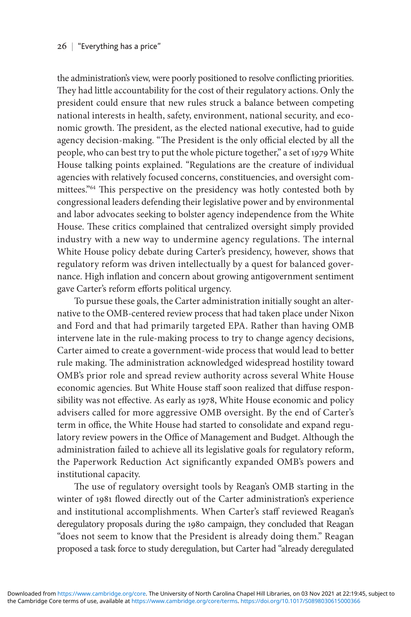the administration's view, were poorly positioned to resolve conflicting priorities. They had little accountability for the cost of their regulatory actions. Only the president could ensure that new rules struck a balance between competing national interests in health, safety, environment, national security, and economic growth. The president, as the elected national executive, had to guide agency decision-making. "The President is the only official elected by all the people, who can best try to put the whole picture together," a set of 1979 White House talking points explained. "Regulations are the creature of individual agencies with relatively focused concerns, constituencies, and oversight committees."<sup>64</sup> This perspective on the presidency was hotly contested both by congressional leaders defending their legislative power and by environmental and labor advocates seeking to bolster agency independence from the White House. These critics complained that centralized oversight simply provided industry with a new way to undermine agency regulations. The internal White House policy debate during Carter's presidency, however, shows that regulatory reform was driven intellectually by a quest for balanced governance. High inflation and concern about growing antigovernment sentiment gave Carter's reform efforts political urgency.

 To pursue these goals, the Carter administration initially sought an alternative to the OMB-centered review process that had taken place under Nixon and Ford and that had primarily targeted EPA. Rather than having OMB intervene late in the rule-making process to try to change agency decisions, Carter aimed to create a government-wide process that would lead to better rule making. The administration acknowledged widespread hostility toward OMB's prior role and spread review authority across several White House economic agencies. But White House staff soon realized that diffuse responsibility was not effective. As early as 1978, White House economic and policy advisers called for more aggressive OMB oversight. By the end of Carter's term in office, the White House had started to consolidate and expand regulatory review powers in the Office of Management and Budget. Although the administration failed to achieve all its legislative goals for regulatory reform, the Paperwork Reduction Act significantly expanded OMB's powers and institutional capacity.

The use of regulatory oversight tools by Reagan's OMB starting in the winter of 1981 flowed directly out of the Carter administration's experience and institutional accomplishments. When Carter's staff reviewed Reagan's deregulatory proposals during the 1980 campaign, they concluded that Reagan "does not seem to know that the President is already doing them." Reagan proposed a task force to study deregulation, but Carter had "already deregulated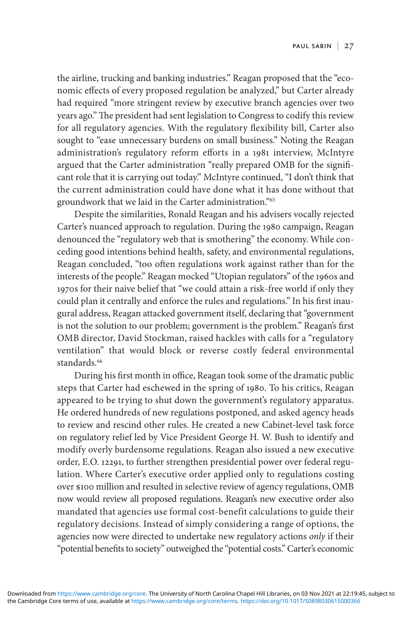the airline, trucking and banking industries." Reagan proposed that the "economic effects of every proposed regulation be analyzed," but Carter already had required "more stringent review by executive branch agencies over two years ago." The president had sent legislation to Congress to codify this review for all regulatory agencies. With the regulatory flexibility bill, Carter also sought to "ease unnecessary burdens on small business." Noting the Reagan administration's regulatory reform efforts in a 1981 interview, McIntyre argued that the Carter administration "really prepared OMB for the significant role that it is carrying out today." McIntyre continued, "I don't think that the current administration could have done what it has done without that groundwork that we laid in the Carter administration."<sup>65</sup>

 Despite the similarities, Ronald Reagan and his advisers vocally rejected Carter's nuanced approach to regulation. During the 1980 campaign, Reagan denounced the "regulatory web that is smothering" the economy. While conceding good intentions behind health, safety, and environmental regulations, Reagan concluded, "too often regulations work against rather than for the interests of the people." Reagan mocked "Utopian regulators" of the 1960s and 1970s for their naive belief that "we could attain a risk-free world if only they could plan it centrally and enforce the rules and regulations." In his first inaugural address, Reagan attacked government itself, declaring that "government is not the solution to our problem; government is the problem." Reagan's first OMB director, David Stockman, raised hackles with calls for a "regulatory ventilation" that would block or reverse costly federal environmental standards.<sup>66</sup>

During his first month in office, Reagan took some of the dramatic public steps that Carter had eschewed in the spring of 1980. To his critics, Reagan appeared to be trying to shut down the government's regulatory apparatus. He ordered hundreds of new regulations postponed, and asked agency heads to review and rescind other rules. He created a new Cabinet-level task force on regulatory relief led by Vice President George H. W. Bush to identify and modify overly burdensome regulations. Reagan also issued a new executive order, E.O. 12291, to further strengthen presidential power over federal regulation. Where Carter's executive order applied only to regulations costing over \$100 million and resulted in selective review of agency regulations, OMB now would review all proposed regulations. Reagan's new executive order also mandated that agencies use formal cost-benefit calculations to guide their regulatory decisions. Instead of simply considering a range of options, the agencies now were directed to undertake new regulatory actions *only* if their "potential benefits to society" outweighed the "potential costs." Carter's economic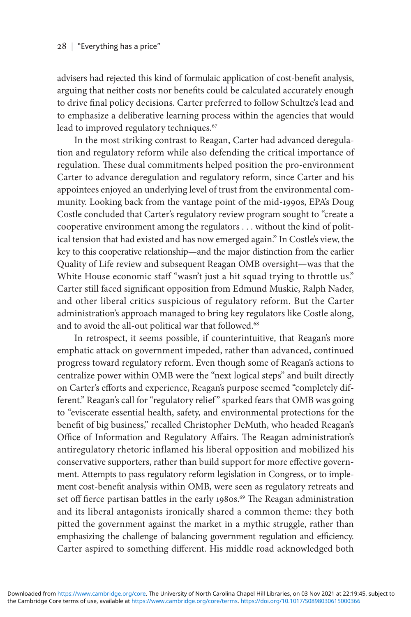advisers had rejected this kind of formulaic application of cost-benefit analysis, arguing that neither costs nor benefits could be calculated accurately enough to drive final policy decisions. Carter preferred to follow Schultze's lead and to emphasize a deliberative learning process within the agencies that would lead to improved regulatory techniques.<sup>67</sup>

 In the most striking contrast to Reagan, Carter had advanced deregulation and regulatory reform while also defending the critical importance of regulation. These dual commitments helped position the pro-environment Carter to advance deregulation and regulatory reform, since Carter and his appointees enjoyed an underlying level of trust from the environmental community. Looking back from the vantage point of the mid-1990s, EPA's Doug Costle concluded that Carter's regulatory review program sought to "create a cooperative environment among the regulators . . . without the kind of political tension that had existed and has now emerged again." In Costle's view, the key to this cooperative relationship—and the major distinction from the earlier Quality of Life review and subsequent Reagan OMB oversight—was that the White House economic staff "wasn't just a hit squad trying to throttle us." Carter still faced significant opposition from Edmund Muskie, Ralph Nader, and other liberal critics suspicious of regulatory reform. But the Carter administration's approach managed to bring key regulators like Costle along, and to avoid the all-out political war that followed.<sup>68</sup>

 In retrospect, it seems possible, if counterintuitive, that Reagan's more emphatic attack on government impeded, rather than advanced, continued progress toward regulatory reform. Even though some of Reagan's actions to centralize power within OMB were the "next logical steps" and built directly on Carter's efforts and experience, Reagan's purpose seemed "completely different." Reagan's call for "regulatory relief" sparked fears that OMB was going to "eviscerate essential health, safety, and environmental protections for the benefit of big business," recalled Christopher DeMuth, who headed Reagan's Office of Information and Regulatory Affairs. The Reagan administration's antiregulatory rhetoric inflamed his liberal opposition and mobilized his conservative supporters, rather than build support for more effective government. Attempts to pass regulatory reform legislation in Congress, or to implement cost-benefit analysis within OMB, were seen as regulatory retreats and set off fierce partisan battles in the early 1980s.<sup>69</sup> The Reagan administration and its liberal antagonists ironically shared a common theme: they both pitted the government against the market in a mythic struggle, rather than emphasizing the challenge of balancing government regulation and efficiency. Carter aspired to something different. His middle road acknowledged both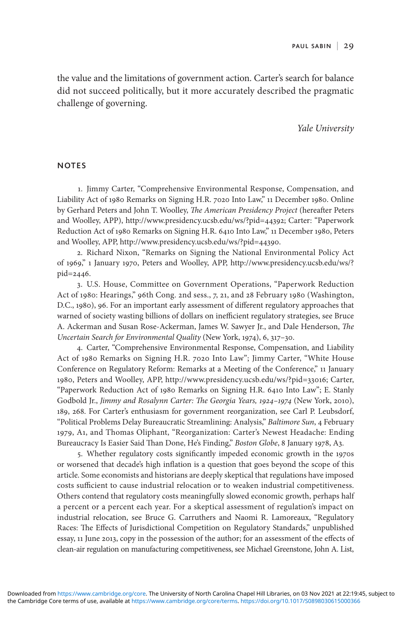the value and the limitations of government action. Carter's search for balance did not succeed politically, but it more accurately described the pragmatic challenge of governing.

 *Yale University* 

#### **NOTES**

 1. Jimmy Carter, "Comprehensive Environmental Response, Compensation, and Liability Act of 1980 Remarks on Signing H.R. 7020 Into Law," 11 December 1980. Online by Gerhard Peters and John T. Woolley, *The American Presidency Project* (hereafter Peters and Woolley, APP), http://www.presidency.ucsb.edu/ws/?pid=44392; Carter: "Paperwork Reduction Act of 1980 Remarks on Signing H.R. 6410 Into Law," 11 December 1980, Peters and Woolley, APP, http://www.presidency.ucsb.edu/ws/?pid=44390 .

 2. Richard Nixon, "Remarks on Signing the National Environmental Policy Act of 1969," 1 January 1970, Peters and Woolley, APP, http://www.presidency.ucsb.edu/ws/? pid=2446.

 3. U.S. House, Committee on Government Operations, "Paperwork Reduction Act of 1980: Hearings," 96th Cong. 2nd sess., 7, 21, and 28 February 1980 (Washington, D.C., 1980), 96. For an important early assessment of different regulatory approaches that warned of society wasting billions of dollars on inefficient regulatory strategies, see Bruce A. Ackerman and Susan Rose-Ackerman, James W. Sawyer Jr., and Dale Henderson, *The Uncertain Search for Environmental Quality* (New York, 1974), 6, 317-30.

 4. Carter, "Comprehensive Environmental Response, Compensation, and Liability Act of 1980 Remarks on Signing H.R. 7020 Into Law"; Jimmy Carter, "White House Conference on Regulatory Reform: Remarks at a Meeting of the Conference," 11 January 1980, Peters and Woolley, APP, http://www.presidency.ucsb.edu/ws/?pid=33016; Carter, "Paperwork Reduction Act of 1980 Remarks on Signing H.R. 6410 Into Law"; E. Stanly Godbold Jr., *Jimmy and Rosalynn Carter: The Georgia Years, 1924–1974* (New York, 2010), 189, 268. For Carter's enthusiasm for government reorganization, see Carl P. Leubsdorf, "Political Problems Delay Bureaucratic Streamlining: Analysis," *Baltimore Sun* , 4 February 1979, A1, and Thomas Oliphant, "Reorganization: Carter's Newest Headache: Ending Bureaucracy Is Easier Said Than Done, He's Finding," *Boston Globe*, 8 January 1978, A3.

5. Whether regulatory costs significantly impeded economic growth in the 1970s or worsened that decade's high inflation is a question that goes beyond the scope of this article. Some economists and historians are deeply skeptical that regulations have imposed costs sufficient to cause industrial relocation or to weaken industrial competitiveness. Others contend that regulatory costs meaningfully slowed economic growth, perhaps half a percent or a percent each year. For a skeptical assessment of regulation's impact on industrial relocation, see Bruce G. Carruthers and Naomi R. Lamoreaux, "Regulatory Races: The Effects of Jurisdictional Competition on Regulatory Standards," unpublished essay, 11 June 2013, copy in the possession of the author; for an assessment of the effects of clean-air regulation on manufacturing competitiveness, see Michael Greenstone, John A. List,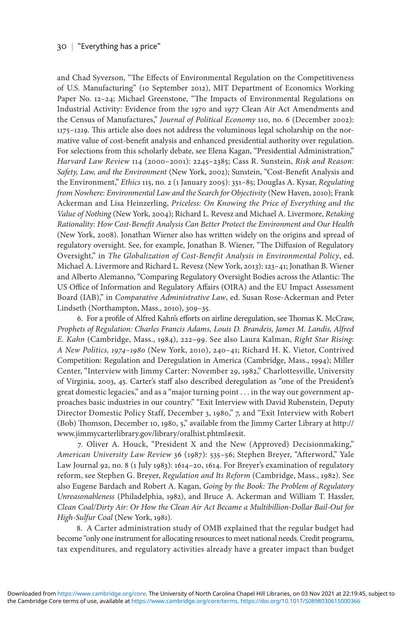and Chad Syverson, "The Effects of Environmental Regulation on the Competitiveness of U.S. Manufacturing" (10 September 2012), MIT Department of Economics Working Paper No. 12-24; Michael Greenstone, "The Impacts of Environmental Regulations on Industrial Activity: Evidence from the 1970 and 1977 Clean Air Act Amendments and the Census of Manufactures," *Journal of Political Economy* 110, no. 6 (December 2002): 1175-1219. This article also does not address the voluminous legal scholarship on the normative value of cost-benefit analysis and enhanced presidential authority over regulation. For selections from this scholarly debate, see Elena Kagan, "Presidential Administration," *Harvard Law Review* 114 ( 2000–2001 ): 2245 – 2385 ; Cass R. Sunstein, *Risk and Reason:*  Safety, Law, and the Environment (New York, 2002); Sunstein, "Cost-Benefit Analysis and the Environment," *Ethics* 115, no. 2 (1 January 2005): 351–85; Douglas A. Kysar, *Regulating from Nowhere: Environmental Law and the Search for Objectivity* (New Haven, 2010); Frank Ackerman and Lisa Heinzerling, *Priceless: On Knowing the Price of Everything and the Value of Nothing* (New York, 2004); Richard L. Revesz and Michael A. Livermore, *Retaking Rationality: How Cost-Benefi t Analysis Can Better Protect the Environment and Our Health* (New York, 2008). Jonathan Wiener also has written widely on the origins and spread of regulatory oversight. See, for example, Jonathan B. Wiener, "The Diffusion of Regulatory Oversight," in *The Globalization of Cost-Benefit Analysis in Environmental Policy*, ed. Michael A. Livermore and Richard L. Revesz ( New York , 2013 ): 123 –41; Jonathan B. Wiener and Alberto Alemanno, "Comparing Regulatory Oversight Bodies across the Atlantic: The US Office of Information and Regulatory Affairs (OIRA) and the EU Impact Assessment Board (IAB) ," in *Comparative Administrative Law* , ed. Susan Rose-Ackerman and Peter Lindseth (Northampton, Mass., 2010), 309-35.

6. For a profile of Alfred Kahn's efforts on airline deregulation, see Thomas K. McCraw, *Prophets of Regulation: Charles Francis Adams, Louis D. Brandeis, James M. Landis, Alfred E. Kahn* (Cambridge, Mass., 1984), 222–99. See also Laura Kalman , *Right Star Rising: A New Politics, 1974–1980* ( New York , 2010 ), 240 –41; Richard H. K. Vietor, Contrived Competition: Regulation and Deregulation in America (Cambridge, Mass., 1994); Miller Center, "Interview with Jimmy Carter: November 29, 1982," Charlottesville, University of Virginia, 2003, 45. Carter's staff also described deregulation as "one of the President's great domestic legacies," and as a "major turning point . . . in the way our government approaches basic industries in our country." "Exit Interview with David Rubenstein, Deputy Director Domestic Policy Staff, December 3, 1980," 7, and "Exit Interview with Robert (Bob) Thomson, December 10, 1980, 5," available from the Jimmy Carter Library at http:// www.jimmycarterlibrary.gov/library/oralhist.phtml#exit.

7. Oliver A. Houck, "President X and the New (Approved) Decisionmaking," *American University Law Review* 36 ( 1987 ): 535 –56; Stephen Breyer, "Afterword," Yale Law Journal 92, no. 8 (1 July 1983): 1614–20, 1614. For Breyer's examination of regulatory reform, see Stephen G. Breyer, *Regulation and Its Reform* (Cambridge, Mass., 1982). See also Eugene Bardach and Robert A. Kagan, *Going by the Book: The Problem of Regulatory Unreasonableness* (Philadelphia, 1982), and Bruce A. Ackerman and William T. Hassler, *Clean Coal/Dirty Air: Or How the Clean Air Act Became a Multibillion-Dollar Bail-Out for High-Sulfur Coal* (New York, 1981).

 8. A Carter administration study of OMB explained that the regular budget had become "only one instrument for allocating resources to meet national needs. Credit programs, tax expenditures, and regulatory activities already have a greater impact than budget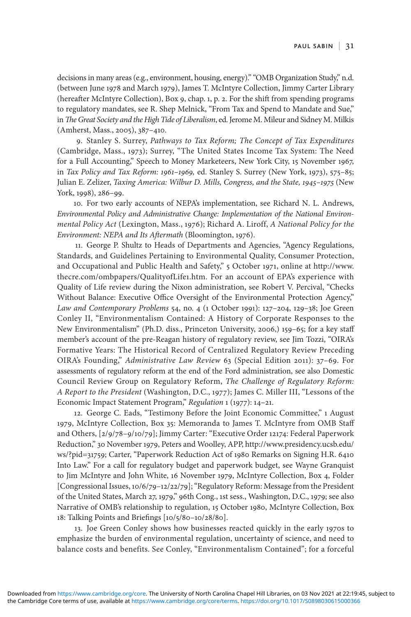decisions in many areas (e.g., environment, housing, energy)." "OMB Organization Study," n.d. (between June 1978 and March 1979), James T. McIntyre Collection, Jimmy Carter Library (hereafter McIntyre Collection), Box 9, chap. 1, p. 2. For the shift from spending programs to regulatory mandates, see R. Shep Melnick, "From Tax and Spend to Mandate and Sue," in *The Great Society and the High Tide of Liberalism*, ed. Jerome M. Mileur and Sidney M. Milkis (Amherst, Mass., 2005), 387-410.

 9. Stanley S. Surrey, *Pathways to Tax Reform; The Concept of Tax Expenditures* (Cambridge, Mass., 1973); Surrey, "The United States Income Tax System: The Need for a Full Accounting," Speech to Money Marketeers, New York City, 15 November 1967, in *Tax Policy and Tax Reform: 1961–1969,* ed. Stanley S. Surrey (New York, 1973), 575–85; Julian E. Zelizer, *Taxing America: Wilbur D. Mills, Congress, and the State, 1945-1975* (New York, 1998), 286-99.

 10. For two early accounts of NEPA's implementation, see Richard N. L. Andrews, *Environmental Policy and Administrative Change: Implementation of the National Environmental Policy Act* (Lexington, Mass., 1976); Richard A. Liroff, *A National Policy for the Environment: NEPA and Its Aftermath* (Bloomington, 1976).

 11. George P. Shultz to Heads of Departments and Agencies, "Agency Regulations, Standards, and Guidelines Pertaining to Environmental Quality, Consumer Protection, and Occupational and Public Health and Safety," 5 October 1971, online at http://www. thecre.com/ombpapers/QualityofLife1.htm. For an account of EPA's experience with Quality of Life review during the Nixon administration, see Robert V. Percival, "Checks Without Balance: Executive Office Oversight of the Environmental Protection Agency," Law and Contemporary Problems 54, no. 4 (1 October 1991): 127-204, 129-38; Joe Green Conley II, "Environmentalism Contained: A History of Corporate Responses to the New Environmentalism" (Ph.D. diss., Princeton University, 2006,) 159–65; for a key staff member's account of the pre-Reagan history of regulatory review, see Jim Tozzi, "OIRA's Formative Years: The Historical Record of Centralized Regulatory Review Preceding OIRA's Founding," *Administrative Law Review* 63 (Special Edition 2011): 37–69. For assessments of regulatory reform at the end of the Ford administration, see also Domestic Council Review Group on Regulatory Reform, *The Challenge of Regulatory Reform: A Report to the President* (Washington, D.C., 1977); James C. Miller III , " Lessons of the Economic Impact Statement Program," *Regulation* 1 (1977): 14-21.

 12. George C. Eads, "Testimony Before the Joint Economic Committee," 1 August 1979, McIntyre Collection, Box 35: Memoranda to James T. McIntyre from OMB Staff and Others, [2/9/78–9/10/79]; Jimmy Carter: "Executive Order 12174: Federal Paperwork Reduction," 30 November 1979, Peters and Woolley, APP, http://www.presidency.ucsb.edu/ ws/?pid=31759 ; Carter, "Paperwork Reduction Act of 1980 Remarks on Signing H.R. 6410 Into Law." For a call for regulatory budget and paperwork budget, see Wayne Granquist to Jim McIntyre and John White, 16 November 1979, McIntyre Collection, Box 4, Folder [Congressional Issues, 10/6/79–12/22/79]; "Regulatory Reform: Message from the President of the United States, March 27, 1979," 96th Cong., 1st sess., Washington, D.C., 1979; see also Narrative of OMB's relationship to regulation, 15 October 1980, McIntyre Collection, Box 18: Talking Points and Briefings [10/5/80-10/28/80].

 13. Joe Green Conley shows how businesses reacted quickly in the early 1970s to emphasize the burden of environmental regulation, uncertainty of science, and need to balance costs and benefits. See Conley, "Environmentalism Contained"; for a forceful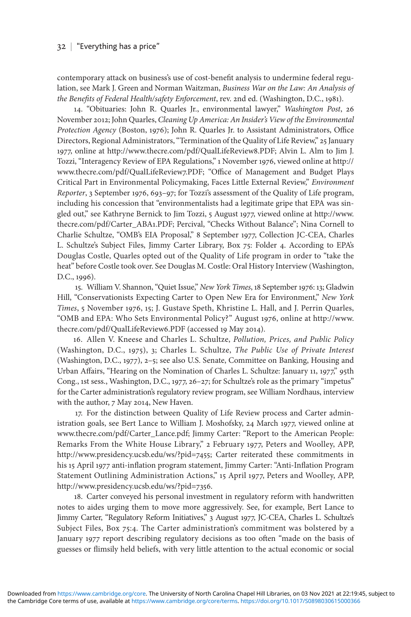contemporary attack on business's use of cost-benefi t analysis to undermine federal regulation, see Mark J. Green and Norman Waitzman, *Business War on the Law: An Analysis of the Benefits of Federal Health/safety Enforcement*, rev. 2nd ed. (Washington, D.C., 1981).

 14. "Obituaries: John R. Quarles Jr., environmental lawyer," *Washington Post* , 26 November 2012; John Quarles, *Cleaning Up America: An Insider's View of the Environmental Protection Agency* (Boston, 1976); John R. Quarles Jr. to Assistant Administrators, Office Directors, Regional Administrators, "Termination of the Quality of Life Review," 25 January 1977, online at http://www.thecre.com/pdf/QualLifeReview8.PDF; Alvin L. Alm to Jim J. Tozzi, "Interagency Review of EPA Regulations," 1 November 1976, viewed online at http:// www.thecre.com/pdf/QualLifeReview7.PDF; "Office of Management and Budget Plays Critical Part in Environmental Policymaking, Faces Little External Review," *Environment Reporter* , 3 September 1976, 693–97; for Tozzi's assessment of the Quality of Life program, including his concession that "environmentalists had a legitimate gripe that EPA was singled out," see Kathryne Bernick to Jim Tozzi, 5 August 1977, viewed online at http://www. thecre.com/pdf/Carter\_ABA1.PDF; Percival, "Checks Without Balance"; Nina Cornell to Charlie Schultze, "OMB's EIA Proposal," 8 September 1977, Collection JC-CEA, Charles L. Schultze's Subject Files, Jimmy Carter Library, Box 75: Folder 4. According to EPA's Douglas Costle, Quarles opted out of the Quality of Life program in order to "take the heat" before Costle took over. See Douglas M. Costle: Oral History Interview (Washington, D.C., 1996).

 15. William V. Shannon, "Quiet Issue," *New York Times* , 18 September 1976: 13; Gladwin Hill, "Conservationists Expecting Carter to Open New Era for Environment," *New York*  Times, 5 November 1976, 15; J. Gustave Speth, Khristine L. Hall, and J. Perrin Quarles, " OMB and EPA: Who Sets Environmental Policy? " August 1976 , online at http://www. thecre.com/pdf/QualLifeReview6.PDF (accessed 19 May 2014) .

16. Allen V. Kneese and Charles L. Schultze, *Pollution, Prices, and Public Policy* (Washington, D.C., 1975), 3; Charles L. Schultze, *The Public Use of Private Interest* (Washington, D.C., 1977), 2-5; see also U.S. Senate, Committee on Banking, Housing and Urban Affairs, "Hearing on the Nomination of Charles L. Schultze: January 11, 1977," 95th Cong., 1st sess., Washington, D.C., 1977, 26–27; for Schultze's role as the primary "impetus" for the Carter administration's regulatory review program, see William Nordhaus, interview with the author, 7 May 2014, New Haven.

 17. For the distinction between Quality of Life Review process and Carter administration goals, see Bert Lance to William J. Moshofsky, 24 March 1977, viewed online at www.thecre.com/pdf/Carter\_Lance.pdf; Jimmy Carter: "Report to the American People: Remarks From the White House Library," 2 February 1977, Peters and Woolley, APP, http://www.presidency.ucsb.edu/ws/?pid=7455 ; Carter reiterated these commitments in his 15 April 1977 anti-inflation program statement, Jimmy Carter: "Anti-Inflation Program Statement Outlining Administration Actions," 15 April 1977, Peters and Woolley, APP, http://www.presidency.ucsb.edu/ws/?pid=7356 .

 18. Carter conveyed his personal investment in regulatory reform with handwritten notes to aides urging them to move more aggressively. See, for example, Bert Lance to Jimmy Carter, "Regulatory Reform Initiatives," 3 August 1977, JC-CEA, Charles L. Schultze's Subject Files, Box 75:4. The Carter administration's commitment was bolstered by a January 1977 report describing regulatory decisions as too often "made on the basis of guesses or flimsily held beliefs, with very little attention to the actual economic or social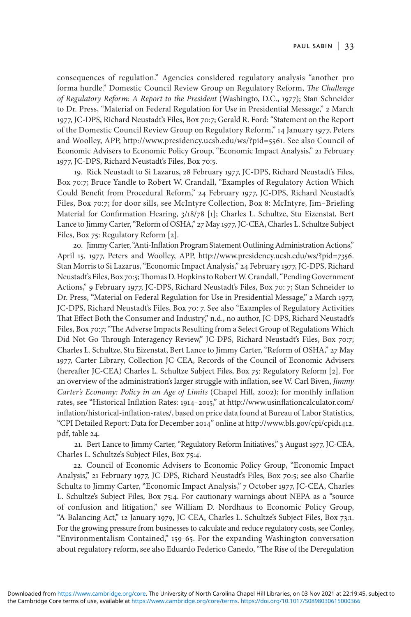consequences of regulation." Agencies considered regulatory analysis "another pro forma hurdle." Domestic Council Review Group on Regulatory Reform, *The Challenge of Regulatory Reform: A Report to the President* (Washingto, D.C., 1977); Stan Schneider to Dr. Press, "Material on Federal Regulation for Use in Presidential Message," 2 March 1977, JC-DPS, Richard Neustadt's Files, Box 70:7; Gerald R. Ford: "Statement on the Report of the Domestic Council Review Group on Regulatory Reform," 14 January 1977, Peters and Woolley, APP, http://www.presidency.ucsb.edu/ws/?pid=5561 . See also Council of Economic Advisers to Economic Policy Group, "Economic Impact Analysis," 21 February 1977, JC-DPS, Richard Neustadt's Files, Box 70:5.

 19. Rick Neustadt to Si Lazarus, 28 February 1977, JC-DPS, Richard Neustadt's Files, Box 70:7; Bruce Yandle to Robert W. Crandall, "Examples of Regulatory Action Which Could Benefit from Procedural Reform," 24 February 1977, JC-DPS, Richard Neustadt's Files, Box 70:7; for door sills, see McIntyre Collection, Box 8: McIntyre, Jim–Briefing Material for Confirmation Hearing, 3/18/78 [1]; Charles L. Schultze, Stu Eizenstat, Bert Lance to Jimmy Carter, "Reform of OSHA," 27 May 1977, JC-CEA, Charles L. Schultze Subject Files, Box 75: Regulatory Reform [2].

20. Jimmy Carter, "Anti-Inflation Program Statement Outlining Administration Actions," April 15, 1977, Peters and Woolley, APP, http://www.presidency.ucsb.edu/ws/?pid=7356 . Stan Morris to Si Lazarus, "Economic Impact Analysis," 24 February 1977, JC-DPS, Richard Neustadt's Files, Box 70:5; Thomas D. Hopkins to Robert W. Crandall, "Pending Government Actions," 9 February 1977, JC-DPS, Richard Neustadt's Files, Box 70: 7; Stan Schneider to Dr. Press, "Material on Federal Regulation for Use in Presidential Message," 2 March 1977, JC-DPS, Richard Neustadt's Files, Box 70: 7. See also "Examples of Regulatory Activities That Effect Both the Consumer and Industry," n.d., no author, JC-DPS, Richard Neustadt's Files, Box 70:7; "The Adverse Impacts Resulting from a Select Group of Regulations Which Did Not Go Through Interagency Review," JC-DPS, Richard Neustadt's Files, Box 70:7; Charles L. Schultze, Stu Eizenstat, Bert Lance to Jimmy Carter, "Reform of OSHA," 27 May 1977, Carter Library, Collection JC-CEA, Records of the Council of Economic Advisers (hereafter JC-CEA) Charles L. Schultze Subject Files, Box 75: Regulatory Reform  $[2]$ . For an overview of the administration's larger struggle with inflation, see W. Carl Biven, *Jimmy Carter's Economy: Policy in an Age of Limits* (Chapel Hill, 2002); for monthly inflation rates, see "Historical Inflation Rates: 1914–2015," at http://www.usinflationcalculator.com/ inflation/historical-inflation-rates/, based on price data found at Bureau of Labor Statistics, "CPI Detailed Report: Data for December 2014" online at http://www.bls.gov/cpi/cpid1412. pdf, table 24.

 21. Bert Lance to Jimmy Carter, "Regulatory Reform Initiatives," 3 August 1977, JC-CEA, Charles L. Schultze's Subject Files, Box 75:4.

 22. Council of Economic Advisers to Economic Policy Group, "Economic Impact Analysis," 21 February 1977, JC-DPS, Richard Neustadt's Files, Box 70:5; see also Charlie Schultz to Jimmy Carter, "Economic Impact Analysis," 7 October 1977, JC-CEA, Charles L. Schultze's Subject Files, Box 75:4. For cautionary warnings about NEPA as a "source of confusion and litigation," see William D. Nordhaus to Economic Policy Group, "A Balancing Act," 12 January 1979, JC-CEA, Charles L. Schultze's Subject Files, Box 73:1. For the growing pressure from businesses to calculate and reduce regulatory costs, see Conley, "Environmentalism Contained," 159-65. For the expanding Washington conversation about regulatory reform, see also Eduardo Federico Canedo, "The Rise of the Deregulation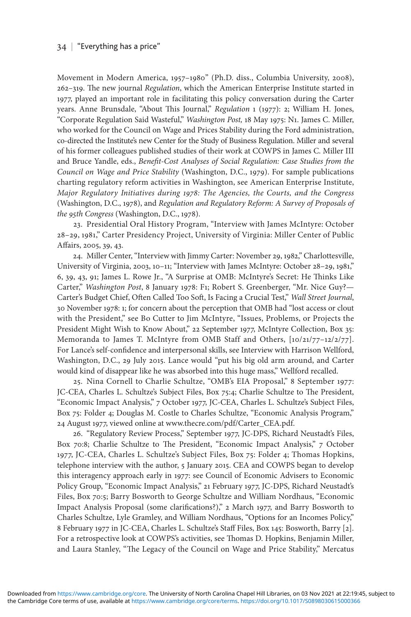Movement in Modern America, 1957–1980" (Ph.D. diss., Columbia University, 2008), 262–319. The new journal *Regulation*, which the American Enterprise Institute started in 1977, played an important role in facilitating this policy conversation during the Carter years. Anne Brunsdale, "About This Journal," *Regulation* 1 (1977): 2; William H. Jones, "Corporate Regulation Said Wasteful," *Washington Post,* 18 May 1975: N1. James C. Miller, who worked for the Council on Wage and Prices Stability during the Ford administration, co-directed the Institute's new Center for the Study of Business Regulation. Miller and several of his former colleagues published studies of their work at COWPS in James C. Miller III and Bruce Yandle , eds., *Benefi t-Cost Analyses of Social Regulation: Case Studies from the Council on Wage and Price Stability* (Washington, D.C., 1979). For sample publications charting regulatory reform activities in Washington, see American Enterprise Institute, *Major Regulatory Initiatives during 1978: The Agencies, the Courts, and the Congress* (Washington, D.C., 1978), and *Regulation and Regulatory Reform: A Survey of Proposals of the 95th Congress* (Washington, D.C., 1978).

 23. Presidential Oral History Program, "Interview with James McIntyre: October 28–29, 1981," Carter Presidency Project, University of Virginia: Miller Center of Public Affairs, 2005, 39, 43.

 24. Miller Center, "Interview with Jimmy Carter: November 29, 1982," Charlottesville, University of Virginia, 2003, 10-11; "Interview with James McIntyre: October 28-29, 1981," 6, 39, 43, 91; James L. Rowe Jr., "A Surprise at OMB: McIntyre's Secret: He Thinks Like Carter," *Washington Post* , 8 January 1978: F1; Robert S. Greenberger, "Mr. Nice Guy?— Carter's Budget Chief, Often Called Too Soft, Is Facing a Crucial Test," *Wall Street Journal*, 30 November 1978: 1; for concern about the perception that OMB had "lost access or clout with the President," see Bo Cutter to Jim McIntyre, "Issues, Problems, or Projects the President Might Wish to Know About," 22 September 1977, McIntyre Collection, Box 35: Memoranda to James T. McIntyre from OMB Staff and Others, [10/21/77–12/2/77]. For Lance's self-confidence and interpersonal skills, see Interview with Harrison Wellford, Washington, D.C., 29 July 2015. Lance would "put his big old arm around, and Carter would kind of disappear like he was absorbed into this huge mass," Wellford recalled.

 25. Nina Cornell to Charlie Schultze, "OMB's EIA Proposal," 8 September 1977: JC-CEA, Charles L. Schultze's Subject Files, Box 75:4; Charlie Schultze to The President, "Economic Impact Analysis," 7 October 1977, JC-CEA, Charles L. Schultze's Subject Files, Box 75: Folder 4; Douglas M. Costle to Charles Schultze, "Economic Analysis Program," 24 August 1977, viewed online at www.thecre.com/pdf/Carter\_CEA.pdf.

 26. "Regulatory Review Process," September 1977, JC-DPS, Richard Neustadt's Files, Box 70:8; Charlie Schultze to The President, "Economic Impact Analysis," 7 October 1977, JC-CEA, Charles L. Schultze's Subject Files, Box 75: Folder 4; Thomas Hopkins, telephone interview with the author, 5 January 2015. CEA and COWPS began to develop this interagency approach early in 1977: see Council of Economic Advisers to Economic Policy Group, "Economic Impact Analysis," 21 February 1977, JC-DPS, Richard Neustadt's Files, Box 70:5; Barry Bosworth to George Schultze and William Nordhaus, "Economic Impact Analysis Proposal (some clarifications?)," 2 March 1977, and Barry Bosworth to Charles Schultze, Lyle Gramley, and William Nordhaus, "Options for an Incomes Policy," 8 February 1977 in JC-CEA, Charles L. Schultze's Staff Files, Box 145: Bosworth, Barry [2]. For a retrospective look at COWPS's activities, see Thomas D. Hopkins, Benjamin Miller, and Laura Stanley, "The Legacy of the Council on Wage and Price Stability," Mercatus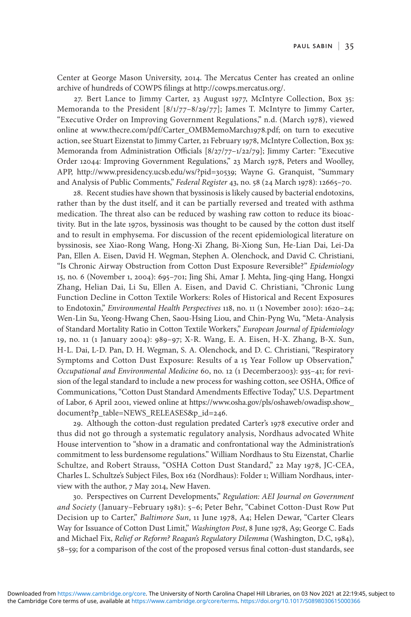Center at George Mason University, 2014. The Mercatus Center has created an online archive of hundreds of COWPS filings at http://cowps.mercatus.org/.

 27. Bert Lance to Jimmy Carter, 23 August 1977, McIntyre Collection, Box 35: Memoranda to the President [8/1/77–8/29/77]; James T. McIntyre to Jimmy Carter, "Executive Order on Improving Government Regulations," n.d. (March 1978), viewed online at www.thecre.com/pdf/Carter\_OMBMemoMarch1978.pdf; on turn to executive action, see Stuart Eizenstat to Jimmy Carter, 21 February 1978, McIntyre Collection, Box 35: Memoranda from Administration Officials [8/27/77-1/22/79]; Jimmy Carter: "Executive Order 12044: Improving Government Regulations," 23 March 1978, Peters and Woolley, APP, http://www.presidency.ucsb.edu/ws/?pid=30539; Wayne G. Granquist, "Summary and Analysis of Public Comments," *Federal Register* 43, no. 58 (24 March 1978): 12665-70.

 28. Recent studies have shown that byssinosis is likely caused by bacterial endotoxins, rather than by the dust itself, and it can be partially reversed and treated with asthma medication. The threat also can be reduced by washing raw cotton to reduce its bioactivity. But in the late 1970s, byssinosis was thought to be caused by the cotton dust itself and to result in emphysema. For discussion of the recent epidemiological literature on byssinosis, see Xiao-Rong Wang, Hong-Xi Zhang, Bi-Xiong Sun, He-Lian Dai, Lei-Da Pan, Ellen A. Eisen, David H. Wegman, Stephen A. Olenchock, and David C. Christiani, " Is Chronic Airway Obstruction from Cotton Dust Exposure Reversible? " *Epidemiology* 15, no. 6 (November 1, 2004): 695-701; Jing Shi, Amar J. Mehta, Jing-qing Hang, Hongxi Zhang, Helian Dai, Li Su, Ellen A. Eisen, and David C. Christiani, "Chronic Lung Function Decline in Cotton Textile Workers: Roles of Historical and Recent Exposures to Endotoxin," *Environmental Health Perspectives* 118, no. 11 (1 November 2010): 1620-24; Wen-Lin Su, Yeong-Hwang Chen, Saou-Hsing Liou, and Chin-Pyng Wu, "Meta-Analysis of Standard Mortality Ratio in Cotton Textile Workers ," *European Journal of Epidemiology* 19, no. 11 (1 January 2004): 989-97; X-R. Wang, E. A. Eisen, H-X. Zhang, B-X. Sun, H-L. Dai, L-D. Pan, D. H. Wegman, S. A. Olenchock, and D. C. Christiani, "Respiratory Symptoms and Cotton Dust Exposure: Results of a 15 Year Follow up Observation," *Occupational and Environmental Medicine* 60, no. 12 (1 December 2003): 935–41; for revision of the legal standard to include a new process for washing cotton, see OSHA, Office of Communications, "Cotton Dust Standard Amendments Effective Today," U.S. Department of Labor, 6 April 2001, viewed online at https://www.osha.gov/pls/oshaweb/owadisp.show\_ document?p\_table=NEWS\_RELEASES&p\_id=246.

 29. Although the cotton-dust regulation predated Carter's 1978 executive order and thus did not go through a systematic regulatory analysis, Nordhaus advocated White House intervention to "show in a dramatic and confrontational way the Administration's commitment to less burdensome regulations." William Nordhaus to Stu Eizenstat, Charlie Schultze, and Robert Strauss, "OSHA Cotton Dust Standard," 22 May 1978, JC-CEA, Charles L. Schultze's Subject Files, Box 162 (Nordhaus): Folder 1; William Nordhaus, interview with the author, 7 May 2014, New Haven.

 30. Perspectives on Current Developments ," *Regulation: AEI Journal on Government*  and Society (January–February 1981): 5-6; Peter Behr, "Cabinet Cotton-Dust Row Put Decision up to Carter," *Baltimore Sun* , 11 June 1978, A4; Helen Dewar, "Carter Clears Way for Issuance of Cotton Dust Limit," *Washington Post* , 8 June 1978, A9; George C. Eads and Michael Fix , *Relief or Reform? Reagan's Regulatory Dilemma* ( Washington, D.C , 1984 ), 58-59; for a comparison of the cost of the proposed versus final cotton-dust standards, see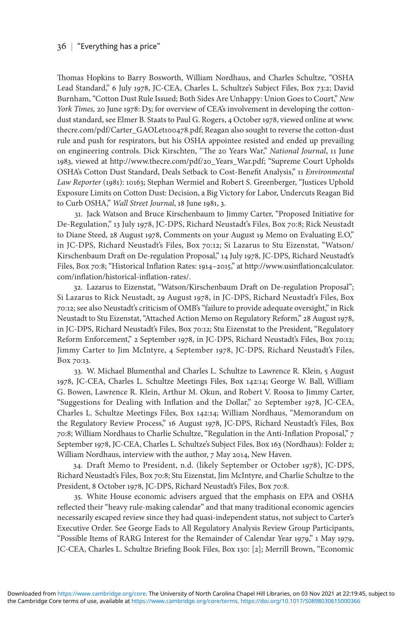Thomas Hopkins to Barry Bosworth, William Nordhaus, and Charles Schultze, "OSHA Lead Standard," 6 July 1978, JC-CEA, Charles L. Schultze's Subject Files, Box 73:2; David Burnham, "Cotton Dust Rule Issued; Both Sides Are Unhappy: Union Goes to Court," *New York Times,* 20 June 1978: D3; for overview of CEA's involvement in developing the cottondust standard, see Elmer B. Staats to Paul G. Rogers, 4 October 1978, viewed online at www. thecre.com/pdf/Carter\_GAOLet100478.pdf; Reagan also sought to reverse the cotton-dust rule and push for respirators, but his OSHA appointee resisted and ended up prevailing on engineering controls. Dick Kirschten, "The 20 Years War," *National Journal*, 11 June 1983, viewed at http://www.thecre.com/pdf/20\_Years\_War.pdf; "Supreme Court Upholds OSHA's Cotton Dust Standard, Deals Setback to Cost-Benefi t Analysis," 11 *Environmental Law Reporter* (1981): 10163; Stephan Wermiel and Robert S. Greenberger, "Justices Uphold Exposure Limits on Cotton Dust: Decision, a Big Victory for Labor, Undercuts Reagan Bid to Curb OSHA," *Wall Street Journal*, 18 June 1981, 3.

 31. Jack Watson and Bruce Kirschenbaum to Jimmy Carter, "Proposed Initiative for De-Regulation," 13 July 1978, JC-DPS, Richard Neustadt's Files, Box 70:8; Rick Neustadt to Diane Steed, 28 August 1978, Comments on your August 19 Memo on Evaluating E.O," in JC-DPS, Richard Neustadt's Files, Box 70:12; Si Lazarus to Stu Eizenstat, "Watson/ Kirschenbaum Draft on De-regulation Proposal," 14 July 1978, JC-DPS, Richard Neustadt's Files, Box 70:8; "Historical Inflation Rates: 1914-2015," at http://www.usinflationcalculator. com/inflation/historical-inflation-rates/.

 32. Lazarus to Eizenstat, "Watson/Kirschenbaum Draft on De-regulation Proposal"; Si Lazarus to Rick Neustadt, 29 August 1978, in JC-DPS, Richard Neustadt's Files, Box 70:12; see also Neustadt's criticism of OMB's "failure to provide adequate oversight," in Rick Neustadt to Stu Eizenstat, "Attached Action Memo on Regulatory Reform," 28 August 1978, in JC-DPS, Richard Neustadt's Files, Box 70:12; Stu Eizenstat to the President, "Regulatory Reform Enforcement," 2 September 1978, in JC-DPS, Richard Neustadt's Files, Box 70:12; Jimmy Carter to Jim McIntyre, 4 September 1978, JC-DPS, Richard Neustadt's Files, Box 70:13.

 33. W. Michael Blumenthal and Charles L. Schultze to Lawrence R. Klein, 5 August 1978, JC-CEA, Charles L. Schultze Meetings Files, Box 142:14; George W. Ball, William G. Bowen, Lawrence R. Klein, Arthur M. Okun, and Robert V. Roosa to Jimmy Carter, "Suggestions for Dealing with Inflation and the Dollar," 20 September 1978, JC-CEA, Charles L. Schultze Meetings Files, Box 142:14; William Nordhaus, "Memorandum on the Regulatory Review Process," 16 August 1978, JC-DPS, Richard Neustadt's Files, Box 70:8; William Nordhaus to Charlie Schultze, "Regulation in the Anti-Inflation Proposal," 7 September 1978, JC-CEA, Charles L. Schultze's Subject Files, Box 163 (Nordhaus): Folder 2; William Nordhaus, interview with the author, 7 May 2014, New Haven.

 34. Draft Memo to President, n.d. (likely September or October 1978), JC-DPS, Richard Neustadt's Files, Box 70:8; Stu Eizenstat, Jim McIntyre, and Charlie Schultze to the President, 8 October 1978, JC-DPS, Richard Neustadt's Files, Box 70:8.

 35. White House economic advisers argued that the emphasis on EPA and OSHA reflected their "heavy rule-making calendar" and that many traditional economic agencies necessarily escaped review since they had quasi-independent status, not subject to Carter's Executive Order. See George Eads to All Regulatory Analysis Review Group Participants, "Possible Items of RARG Interest for the Remainder of Calendar Year 1979," 1 May 1979, JC-CEA, Charles L. Schultze Briefing Book Files, Box 130: [2]; Merrill Brown, "Economic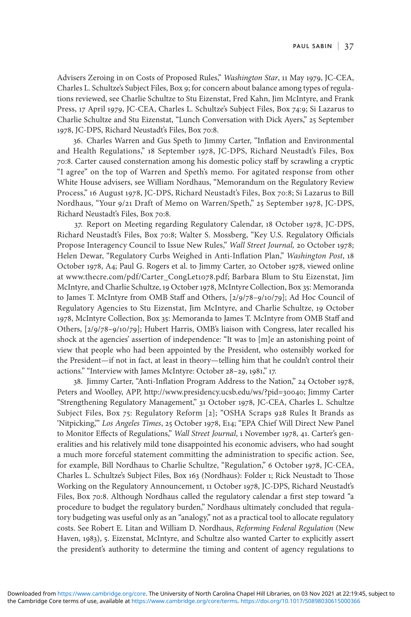Advisers Zeroing in on Costs of Proposed Rules," *Washington Star* , 11 May 1979, JC-CEA, Charles L. Schultze's Subject Files, Box 9; for concern about balance among types of regulations reviewed, see Charlie Schultze to Stu Eizenstat, Fred Kahn, Jim McIntyre, and Frank Press, 17 April 1979, JC-CEA, Charles L. Schultze's Subject Files, Box 74:9; Si Lazarus to Charlie Schultze and Stu Eizenstat, "Lunch Conversation with Dick Ayers," 25 September 1978, JC-DPS, Richard Neustadt's Files, Box 70:8.

36. Charles Warren and Gus Speth to Jimmy Carter, "Inflation and Environmental and Health Regulations," 18 September 1978, JC-DPS, Richard Neustadt's Files, Box 70:8. Carter caused consternation among his domestic policy staff by scrawling a cryptic "I agree" on the top of Warren and Speth's memo. For agitated response from other White House advisers, see William Nordhaus, "Memorandum on the Regulatory Review Process," 16 August 1978, JC-DPS, Richard Neustadt's Files, Box 70:8; Si Lazarus to Bill Nordhaus, "Your 9/21 Draft of Memo on Warren/Speth," 25 September 1978, JC-DPS, Richard Neustadt's Files, Box 70:8.

 37. Report on Meeting regarding Regulatory Calendar, 18 October 1978, JC-DPS, Richard Neustadt's Files, Box 70:8; Walter S. Mossberg, "Key U.S. Regulatory Officials Propose Interagency Council to Issue New Rules," *Wall Street Journal,* 20 October 1978; Helen Dewar, "Regulatory Curbs Weighed in Anti-Inflation Plan," *Washington Post*, 18 October 1978, A4; Paul G. Rogers et al. to Jimmy Carter, 20 October 1978, viewed online at www.thecre.com/pdf/Carter\_CongLet1078.pdf; Barbara Blum to Stu Eizenstat, Jim McIntyre, and Charlie Schultze, 19 October 1978, McIntyre Collection, Box 35: Memoranda to James T. McIntyre from OMB Staff and Others, [2/9/78–9/10/79]; Ad Hoc Council of Regulatory Agencies to Stu Eizenstat, Jim McIntyre, and Charlie Schultze, 19 October 1978, McIntyre Collection, Box 35: Memoranda to James T. McIntyre from OMB Staff and Others, [2/9/78–9/10/79]; Hubert Harris, OMB's liaison with Congress, later recalled his shock at the agencies' assertion of independence: "It was to [m]e an astonishing point of view that people who had been appointed by the President, who ostensibly worked for the President—if not in fact, at least in theory—telling him that he couldn't control their actions." "Interview with James McIntyre: October 28–29, 1981," 17.

38. Jimmy Carter, "Anti-Inflation Program Address to the Nation," 24 October 1978, Peters and Woolley, APP, http://www.presidency.ucsb.edu/ws/?pid=30040; Jimmy Carter "Strengthening Regulatory Management," 31 October 1978, JC-CEA, Charles L. Schultze Subject Files, Box 75: Regulatory Reform [2]; "OSHA Scraps 928 Rules It Brands as 'Nitpicking,'" *Los Angeles Times* , 25 October 1978, E14; "EPA Chief Will Direct New Panel to Monitor Effects of Regulations," *Wall Street Journal*, 1 November 1978, 41. Carter's generalities and his relatively mild tone disappointed his economic advisers, who had sought a much more forceful statement committing the administration to specific action. See, for example, Bill Nordhaus to Charlie Schultze, "Regulation," 6 October 1978, JC-CEA, Charles L. Schultze's Subject Files, Box 163 (Nordhaus): Folder 1; Rick Neustadt to Those Working on the Regulatory Announcement, 11 October 1978, JC-DPS, Richard Neustadt's Files, Box 70:8. Although Nordhaus called the regulatory calendar a first step toward "a procedure to budget the regulatory burden," Nordhaus ultimately concluded that regulatory budgeting was useful only as an "analogy," not as a practical tool to allocate regulatory costs. See Robert E. Litan and William D. Nordhaus, *Reforming Federal Regulation* (New Haven, 1983), 5. Eizenstat, McIntyre, and Schultze also wanted Carter to explicitly assert the president's authority to determine the timing and content of agency regulations to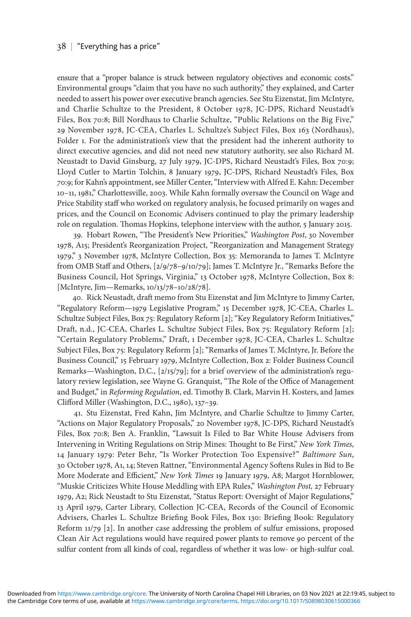ensure that a "proper balance is struck between regulatory objectives and economic costs." Environmental groups "claim that you have no such authority," they explained, and Carter needed to assert his power over executive branch agencies. See Stu Eizenstat, Jim McIntyre, and Charlie Schultze to the President, 8 October 1978, JC-DPS, Richard Neustadt's Files, Box 70:8; Bill Nordhaus to Charlie Schultze, "Public Relations on the Big Five," 29 November 1978, JC-CEA, Charles L. Schultze's Subject Files, Box 163 (Nordhaus), Folder 1. For the administration's view that the president had the inherent authority to direct executive agencies, and did not need new statutory authority, see also Richard M. Neustadt to David Ginsburg, 27 July 1979, JC-DPS, Richard Neustadt's Files, Box 70:9; Lloyd Cutler to Martin Tolchin, 8 January 1979, JC-DPS, Richard Neustadt's Files, Box 70:9; for Kahn's appointment, see Miller Center, "Interview with Alfred E. Kahn: December 10–11, 1981," Charlottesville, 2003. While Kahn formally oversaw the Council on Wage and Price Stability staff who worked on regulatory analysis, he focused primarily on wages and prices, and the Council on Economic Advisers continued to play the primary leadership role on regulation. Thomas Hopkins, telephone interview with the author, 5 January 2015.

39. Hobart Rowen, "The President's New Priorities," *Washington Post*, 30 November 1978, A15; President's Reorganization Project, "Reorganization and Management Strategy 1979," 3 November 1978, McIntyre Collection, Box 35: Memoranda to James T. McIntyre from OMB Staff and Others, [2/9/78–9/10/79]; James T. McIntyre Jr., "Remarks Before the Business Council, Hot Springs, Virginia," 13 October 1978, McIntyre Collection, Box 8: [McIntyre, Jim—Remarks, 10/13/78-10/28/78].

 40. Rick Neustadt, draft memo from Stu Eizenstat and Jim McIntyre to Jimmy Carter, "Regulatory Reform—1979 Legislative Program," 15 December 1978, JC-CEA, Charles L. Schultze Subject Files, Box 75: Regulatory Reform [2]; "Key Regulatory Reform Initiatives," Draft, n.d., JC-CEA, Charles L. Schultze Subject Files, Box 75: Regulatory Reform [2]; "Certain Regulatory Problems," Draft, 1 December 1978, JC-CEA, Charles L. Schultze Subject Files, Box 75: Regulatory Reform [2]; "Remarks of James T. McIntyre, Jr. Before the Business Council," 15 February 1979, McIntyre Collection, Box 2: Folder Business Council Remarks—Washington, D.C., [2/15/79]; for a brief overview of the administration's regulatory review legislation, see Wayne G. Granquist, "The Role of the Office of Management and Budget," in *Reforming Regulation*, ed. Timothy B. Clark, Marvin H. Kosters, and James Clifford Miller (Washington, D.C., 1980), 137-39.

 41. Stu Eizenstat, Fred Kahn, Jim McIntyre, and Charlie Schultze to Jimmy Carter, "Actions on Major Regulatory Proposals," 20 November 1978, JC-DPS, Richard Neustadt's Files, Box 70:8; Ben A. Franklin, "Lawsuit Is Filed to Bar White House Advisers from Intervening in Writing Regulations on Strip Mines: Thought to Be First," *New York Times*, 14 January 1979: Peter Behr, "Is Worker Protection Too Expensive?" *Baltimore Sun* , 30 October 1978, A1, 14; Steven Rattner, "Environmental Agency Softens Rules in Bid to Be More Moderate and Efficient," *New York Times* 19 January 1979, A8; Margot Hornblower, "Muskie Criticizes White House Meddling with EPA Rules," *Washington Post,* 27 February 1979, A2; Rick Neustadt to Stu Eizenstat, "Status Report: Oversight of Major Regulations," 13 April 1979, Carter Library, Collection JC-CEA, Records of the Council of Economic Advisers, Charles L. Schultze Briefing Book Files, Box 130: Briefing Book: Regulatory Reform 11/79 [2]. In another case addressing the problem of sulfur emissions, proposed Clean Air Act regulations would have required power plants to remove 90 percent of the sulfur content from all kinds of coal, regardless of whether it was low- or high-sulfur coal.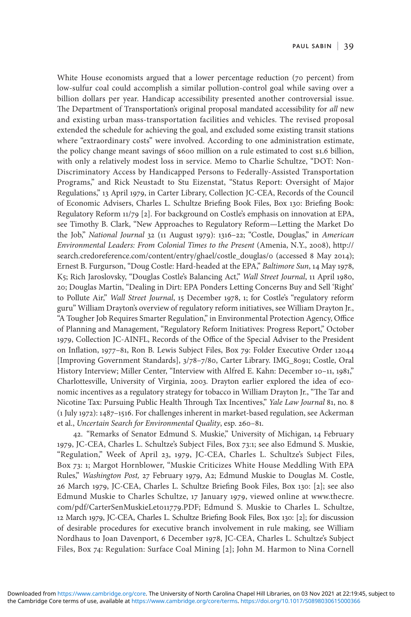White House economists argued that a lower percentage reduction (70 percent) from low-sulfur coal could accomplish a similar pollution-control goal while saving over a billion dollars per year. Handicap accessibility presented another controversial issue. The Department of Transportation's original proposal mandated accessibility for *all* new and existing urban mass-transportation facilities and vehicles. The revised proposal extended the schedule for achieving the goal, and excluded some existing transit stations where "extraordinary costs" were involved. According to one administration estimate, the policy change meant savings of \$600 million on a rule estimated to cost \$1.6 billion, with only a relatively modest loss in service. Memo to Charlie Schultze, "DOT: Non-Discriminatory Access by Handicapped Persons to Federally-Assisted Transportation Programs," and Rick Neustadt to Stu Eizenstat, "Status Report: Oversight of Major Regulations," 13 April 1979, in Carter Library, Collection JC-CEA, Records of the Council of Economic Advisers, Charles L. Schultze Briefing Book Files, Box 130: Briefing Book: Regulatory Reform 11/79 [2]. For background on Costle's emphasis on innovation at EPA, see Timothy B. Clark, "New Approaches to Regulatory Reform—Letting the Market Do the Job," *National Journal* 32 (11 August 1979): 1316-22; "Costle, Douglas," in American *Environmental Leaders: From Colonial Times to the Present* (Amenia, N.Y., 2008), http:// search.credoreference.com/content/entry/ghael/costle\_douglas/o (accessed 8 May 2014); Ernest B. Furgurson, "Doug Costle: Hard-headed at the EPA," *Baltimore Sun* , 14 May 1978, K5; Rich Jaroslovsky, "Douglas Costle's Balancing Act," *Wall Street Journal* , 11 April 1980, 20; Douglas Martin, "Dealing in Dirt: EPA Ponders Letting Concerns Buy and Sell 'Right' to Pollute Air," *Wall Street Journal* , 15 December 1978, 1; for Costle's "regulatory reform guru" William Drayton's overview of regulatory reform initiatives, see William Drayton Jr., "A Tougher Job Requires Smarter Regulation," in Environmental Protection Agency, Office of Planning and Management, "Regulatory Reform Initiatives: Progress Report," October 1979, Collection JC-AINFL, Records of the Office of the Special Adviser to the President on Inflation, 1977-81, Ron B. Lewis Subject Files, Box 79: Folder Executive Order 12044 [Improving Government Standards], 3/78–7/80, Carter Library. IMG\_8091; Costle, Oral History Interview; Miller Center, "Interview with Alfred E. Kahn: December 10–11, 1981," Charlottesville, University of Virginia, 2003. Drayton earlier explored the idea of economic incentives as a regulatory strategy for tobacco in William Drayton Jr., "The Tar and Nicotine Tax: Pursuing Public Health Through Tax Incentives," *Yale Law Journal* 81, no. 8 (1 July 1972): 1487–1516. For challenges inherent in market-based regulation, see Ackerman et al., *Uncertain Search for Environmental Quality* , esp. 260–81.

 42. "Remarks of Senator Edmund S. Muskie," University of Michigan, 14 February 1979, JC-CEA, Charles L. Schultze's Subject Files, Box 73:1; see also Edmund S. Muskie, "Regulation," Week of April 23, 1979, JC-CEA, Charles L. Schultze's Subject Files, Box 73: 1; Margot Hornblower, "Muskie Criticizes White House Meddling With EPA Rules," *Washington Post,* 27 February 1979, A2; Edmund Muskie to Douglas M. Costle, 26 March 1979, JC-CEA, Charles L. Schultze Briefing Book Files, Box 130: [2]; see also Edmund Muskie to Charles Schultze, 17 January 1979, viewed online at www.thecre. com/pdf/CarterSenMuskieLeto11779.PDF; Edmund S. Muskie to Charles L. Schultze, 12 March 1979, JC-CEA, Charles L. Schultze Briefing Book Files, Box 130: [2]; for discussion of desirable procedures for executive branch involvement in rule making, see William Nordhaus to Joan Davenport, 6 December 1978, JC-CEA, Charles L. Schultze's Subject Files, Box 74: Regulation: Surface Coal Mining [2]; John M. Harmon to Nina Cornell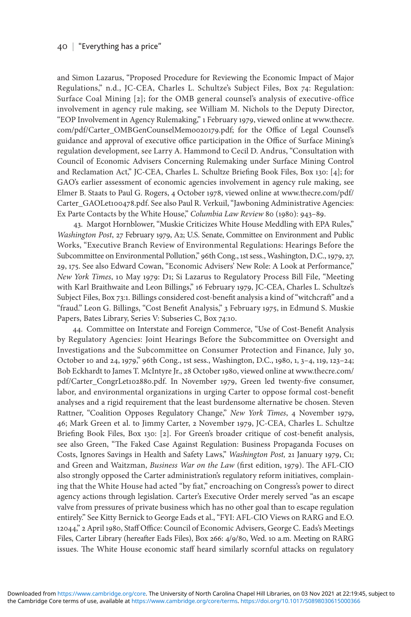and Simon Lazarus, "Proposed Procedure for Reviewing the Economic Impact of Major Regulations," n.d., JC-CEA, Charles L. Schultze's Subject Files, Box 74: Regulation: Surface Coal Mining [2]; for the OMB general counsel's analysis of executive-office involvement in agency rule making, see William M. Nichols to the Deputy Director, "EOP Involvement in Agency Rulemaking," 1 February 1979, viewed online at www.thecre. com/pdf/Carter\_OMBGenCounselMemo020179.pdf; for the Office of Legal Counsel's guidance and approval of executive office participation in the Office of Surface Mining's regulation development, see Larry A. Hammond to Cecil D. Andrus, "Consultation with Council of Economic Advisers Concerning Rulemaking under Surface Mining Control and Reclamation Act," JC-CEA, Charles L. Schultze Briefing Book Files, Box 130: [4]; for GAO's earlier assessment of economic agencies involvement in agency rule making, see Elmer B. Staats to Paul G. Rogers, 4 October 1978, viewed online at www.thecre.com/pdf/ Carter\_GAOLet100478.pdf. See also Paul R. Verkuil, "Jawboning Administrative Agencies: Ex Parte Contacts by the White House," *Columbia Law Review* 80 (1980): 943-89.

 43. Margot Hornblower, "Muskie Criticizes White House Meddling with EPA Rules," *Washington Post* , 27 February 1979, A2; U.S. Senate, Committee on Environment and Public Works, "Executive Branch Review of Environmental Regulations: Hearings Before the Subcommittee on Environmental Pollution," 96th Cong., 1st sess., Washington, D.C., 1979, 27, 29, 175. See also Edward Cowan, "Economic Advisers' New Role: A Look at Performance," *New York Times* , 10 May 1979: D1; Si Lazarus to Regulatory Process Bill File, "Meeting with Karl Braithwaite and Leon Billings," 16 February 1979, JC-CEA, Charles L. Schultze's Subject Files, Box 73:1. Billings considered cost-benefit analysis a kind of "witchcraft" and a "fraud." Leon G. Billings, "Cost Benefit Analysis," 3 February 1975, in Edmund S. Muskie Papers, Bates Library, Series V: Subseries C, Box 74:10.

 44. Committee on Interstate and Foreign Commerce, "Use of Cost-Benefi t Analysis by Regulatory Agencies: Joint Hearings Before the Subcommittee on Oversight and Investigations and the Subcommittee on Consumer Protection and Finance, July 30, October 10 and 24, 1979," 96th Cong., 1st sess., Washington, D.C., 1980, 1, 3–4, 119, 123–24; Bob Eckhardt to James T. McIntyre Jr., 28 October 1980, viewed online at www.thecre.com/ pdf/Carter\_CongrLet102880.pdf. In November 1979, Green led twenty-five consumer, labor, and environmental organizations in urging Carter to oppose formal cost-benefit analyses and a rigid requirement that the least burdensome alternative be chosen. Steven Rattner, "Coalition Opposes Regulatory Change," *New York Times*, 4 November 1979, 46; Mark Green et al. to Jimmy Carter, 2 November 1979, JC-CEA, Charles L. Schultze Briefing Book Files, Box 130: [2]. For Green's broader critique of cost-benefit analysis, see also Green, "The Faked Case Against Regulation: Business Propaganda Focuses on Costs, Ignores Savings in Health and Safety Laws," *Washington Post,* 21 January 1979, C1; and Green and Waitzman, *Business War on the Law* (first edition, 1979). The AFL-CIO also strongly opposed the Carter administration's regulatory reform initiatives, complaining that the White House had acted "by fiat," encroaching on Congress's power to direct agency actions through legislation. Carter's Executive Order merely served "as an escape valve from pressures of private business which has no other goal than to escape regulation entirely." See Kitty Bernick to George Eads et al., "FYI: AFL-CIO Views on RARG and E.O. 12044," 2 April 1980, Staff Office: Council of Economic Advisers, George C. Eads's Meetings Files, Carter Library (hereafter Eads Files), Box 266: 4/9/80, Wed. 10 a.m. Meeting on RARG issues. The White House economic staff heard similarly scornful attacks on regulatory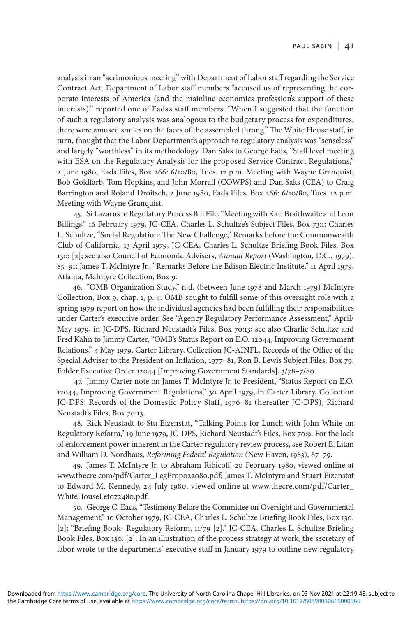analysis in an "acrimonious meeting" with Department of Labor staff regarding the Service Contract Act. Department of Labor staff members "accused us of representing the corporate interests of America (and the mainline economics profession's support of these interests)," reported one of Eads's staff members. "When I suggested that the function of such a regulatory analysis was analogous to the budgetary process for expenditures, there were amused smiles on the faces of the assembled throng." The White House staff, in turn, thought that the Labor Department's approach to regulatory analysis was "senseless" and largely "worthless" in its methodology. Dan Saks to George Eads, "Staff level meeting with ESA on the Regulatory Analysis for the proposed Service Contract Regulations," 2 June 1980, Eads Files, Box 266: 6/10/80, Tues. 12 p.m. Meeting with Wayne Granquist; Bob Goldfarb, Tom Hopkins, and John Morrall (COWPS) and Dan Saks (CEA) to Craig Barrington and Roland Droitsch, 2 June 1980, Eads Files, Box 266: 6/10/80, Tues. 12 p.m. Meeting with Wayne Granquist.

 45. Si Lazarus to Regulatory Process Bill File, "Meeting with Karl Braithwaite and Leon Billings," 16 February 1979, JC-CEA, Charles L. Schultze's Subject Files, Box 73:1; Charles L. Schultze, "Social Regulation: The New Challenge," Remarks before the Commonwealth Club of California, 13 April 1979, JC-CEA, Charles L. Schultze Briefing Book Files, Box 130: [2]; see also Council of Economic Advisers, *Annual Report* (Washington, D.C., 1979), 85–91; James T. McIntyre Jr., "Remarks Before the Edison Electric Institute," 11 April 1979, Atlanta, McIntyre Collection, Box 9.

 46. "OMB Organization Study," n.d. (between June 1978 and March 1979) McIntyre Collection, Box 9, chap. 1, p. 4. OMB sought to fulfill some of this oversight role with a spring 1979 report on how the individual agencies had been fulfilling their responsibilities under Carter's executive order. See "Agency Regulatory Performance Assessment," April/ May 1979, in JC-DPS, Richard Neustadt's Files, Box 70:13; see also Charlie Schultze and Fred Kahn to Jimmy Carter, "OMB's Status Report on E.O. 12044, Improving Government Relations," 4 May 1979, Carter Library, Collection JC-AINFL, Records of the Office of the Special Adviser to the President on Inflation, 1977–81, Ron B. Lewis Subject Files, Box 79: Folder Executive Order 12044 [Improving Government Standards], 3/78–7/80.

 47. Jimmy Carter note on James T. McIntyre Jr. to President, "Status Report on E.O. 12044, Improving Government Regulations," 30 April 1979, in Carter Library, Collection JC-DPS: Records of the Domestic Policy Staff, 1976–81 (hereafter JC-DPS), Richard Neustadt's Files, Box 70:13.

 48. Rick Neustadt to Stu Eizenstat, "Talking Points for Lunch with John White on Regulatory Reform," 19 June 1979, JC-DPS, Richard Neustadt's Files, Box 70:9. For the lack of enforcement power inherent in the Carter regulatory review process, see Robert E. Litan and William D. Nordhaus, *Reforming Federal Regulation* (New Haven, 1983), 67-79.

 49. James T. McIntyre Jr. to Abraham Ribicoff , 20 February 1980, viewed online at www.thecre.com/pdf/Carter\_LegPropo22080.pdf; James T. McIntyre and Stuart Eizenstat to Edward M. Kennedy, 24 July 1980, viewed online at www.thecre.com/pdf/Carter\_ WhiteHouseLeto72480.pdf.

 50. George C. Eads, "Testimony Before the Committee on Oversight and Governmental Management," 10 October 1979, JC-CEA, Charles L. Schultze Briefing Book Files, Box 130: [2]; "Briefing Book- Regulatory Reform, 11/79 [2]," JC-CEA, Charles L. Schultze Briefing Book Files, Box 130: [2]. In an illustration of the process strategy at work, the secretary of labor wrote to the departments' executive staff in January 1979 to outline new regulatory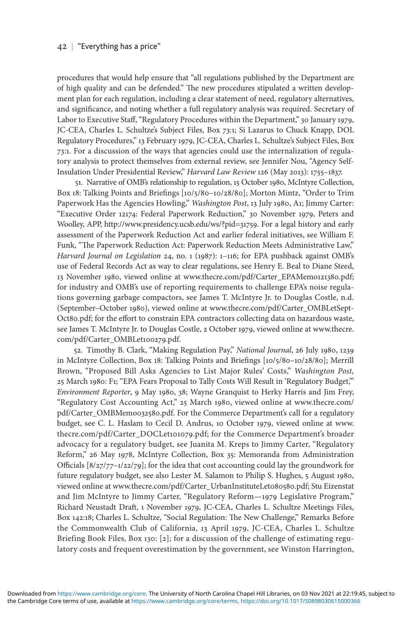procedures that would help ensure that "all regulations published by the Department are of high quality and can be defended." The new procedures stipulated a written development plan for each regulation, including a clear statement of need, regulatory alternatives, and significance, and noting whether a full regulatory analysis was required. Secretary of Labor to Executive Staff, "Regulatory Procedures within the Department," 30 January 1979, JC-CEA, Charles L. Schultze's Subject Files, Box 73:1; Si Lazarus to Chuck Knapp, DOL Regulatory Procedures," 13 February 1979, JC-CEA, Charles L. Schultze's Subject Files, Box 73:1. For a discussion of the ways that agencies could use the internalization of regulatory analysis to protect themselves from external review, see Jennifer Nou, "Agency Self-Insulation Under Presidential Review," *Harvard Law Review* 126 (May 2013): 1755-1837.

 51. Narrative of OMB's relationship to regulation, 15 October 1980, McIntyre Collection, Box 18: Talking Points and Briefings [10/5/80-10/28/80]; Morton Mintz, "Order to Trim Paperwork Has the Agencies Howling," *Washington Post* , 13 July 1980, A1; Jimmy Carter: "Executive Order 12174: Federal Paperwork Reduction," 30 November 1979, Peters and Woolley, APP, http://www.presidency.ucsb.edu/ws/?pid=31759 . For a legal history and early assessment of the Paperwork Reduction Act and earlier federal initiatives, see William F. Funk, "The Paperwork Reduction Act: Paperwork Reduction Meets Administrative Law," Harvard Journal on Legislation 24, no. 1 (1987): 1-116; for EPA pushback against OMB's use of Federal Records Act as way to clear regulations, see Henry E. Beal to Diane Steed, 13 November 1980, viewed online at www.thecre.com/pdf/Carter\_EPAMemo121380.pdf; for industry and OMB's use of reporting requirements to challenge EPA's noise regulations governing garbage compactors, see James T. McIntyre Jr. to Douglas Costle, n.d. (September–October 1980), viewed online at www.thecre.com/pdf/Carter\_OMBLetSept-Oct80.pdf; for the effort to constrain EPA contractors collecting data on hazardous waste, see James T. McIntyre Jr. to Douglas Costle, 2 October 1979, viewed online at www.thecre. com/pdf/Carter\_OMBLet100279.pdf.

 52. Timothy B. Clark, "Making Regulation Pay," *National Journal* , 26 July 1980, 1239 in McIntyre Collection, Box 18: Talking Points and Briefings [10/5/80-10/28/80]; Merrill Brown, "Proposed Bill Asks Agencies to List Major Rules' Costs," *Washington Post,* 25 March 1980: F1; "EPA Fears Proposal to Tally Costs Will Result in 'Regulatory Budget,'" *Environment Reporter* , 9 May 1980, 38; Wayne Granquist to Herky Harris and Jim Frey, "Regulatory Cost Accounting Act," 25 March 1980, viewed online at www.thecre.com/ pdf/Carter\_OMBMemo032580.pdf . For the Commerce Department's call for a regulatory budget, see C. L. Haslam to Cecil D. Andrus, 10 October 1979, viewed online at www. thecre.com/pdf/Carter\_DOCLet101079.pdf; for the Commerce Department's broader advocacy for a regulatory budget, see Juanita M. Kreps to Jimmy Carter, "Regulatory Reform," 26 May 1978, McIntyre Collection, Box 35: Memoranda from Administration Officials  $\left[\frac{8}{27}{77}-\frac{1}{22}{79}\right]$ ; for the idea that cost accounting could lay the groundwork for future regulatory budget, see also Lester M. Salamon to Philip S. Hughes, 5 August 1980, viewed online at www.thecre.com/pdf/Carter\_UrbanInstituteLeto80580.pdf; Stu Eizenstat and Jim McIntyre to Jimmy Carter, "Regulatory Reform—1979 Legislative Program," Richard Neustadt Draft, 1 November 1979, JC-CEA, Charles L. Schultze Meetings Files, Box 142:18; Charles L. Schultze, "Social Regulation: The New Challenge," Remarks Before the Commonwealth Club of California, 13 April 1979, JC-CEA, Charles L. Schultze Briefing Book Files, Box 130: [2]; for a discussion of the challenge of estimating regulatory costs and frequent overestimation by the government, see Winston Harrington,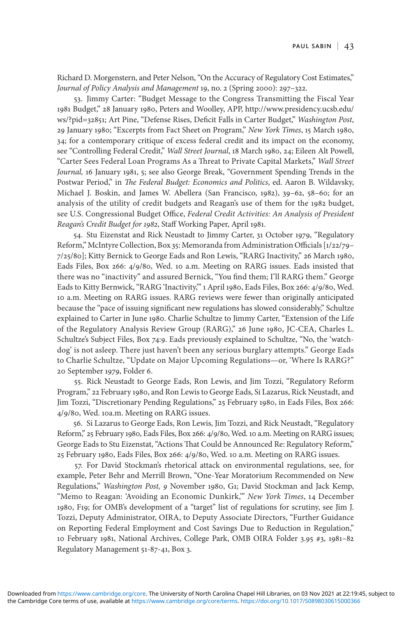Richard D. Morgenstern, and Peter Nelson, "On the Accuracy of Regulatory Cost Estimates," *Journal of Policy Analysis and Management* 19, no. 2 (Spring 2000): 297–322.

 53. Jimmy Carter: "Budget Message to the Congress Transmitting the Fiscal Year 1981 Budget," 28 January 1980, Peters and Woolley, APP, http://www.presidency.ucsb.edu/ ws/?pid=32851; Art Pine, "Defense Rises, Deficit Falls in Carter Budget," *Washington Post*, 29 January 1980; "Excerpts from Fact Sheet on Program," *New York Times* , 15 March 1980, 34; for a contemporary critique of excess federal credit and its impact on the economy, see "Controlling Federal Credit," *Wall Street Journal* , 18 March 1980, 24; Eileen Alt Powell, "Carter Sees Federal Loan Programs As a Threat to Private Capital Markets," *Wall Street* Journal, 16 January 1981, 5; see also George Break, "Government Spending Trends in the Postwar Period," in *The Federal Budget: Economics and Politics*, ed. Aaron B. Wildavsky, Michael J. Boskin, and James W. Abellera (San Francisco, 1982), 39-62, 58-60; for an analysis of the utility of credit budgets and Reagan's use of them for the 1982 budget, see U.S. Congressional Budget Office, *Federal Credit Activities: An Analysis of President Reagan's Credit Budget for 1982* , Staff Working Paper, April 1981.

 54. Stu Eizenstat and Rick Neustadt to Jimmy Carter, 31 October 1979, "Regulatory Reform," McIntyre Collection, Box 35: Memoranda from Administration Officials [1/22/79-7/25/80]; Kitty Bernick to George Eads and Ron Lewis, "RARG Inactivity," 26 March 1980, Eads Files, Box 266: 4/9/80, Wed. 10 a.m. Meeting on RARG issues. Eads insisted that there was no "inactivity" and assured Bernick, "You find them; I'll RARG them." George Eads to Kitty Bernwick, "RARG 'Inactivity," 1 April 1980, Eads Files, Box 266: 4/9/80, Wed. 10 a.m. Meeting on RARG issues. RARG reviews were fewer than originally anticipated because the "pace of issuing significant new regulations has slowed considerably," Schultze explained to Carter in June 1980. Charlie Schultze to Jimmy Carter, "Extension of the Life of the Regulatory Analysis Review Group (RARG)," 26 June 1980, JC-CEA, Charles L. Schultze's Subject Files, Box 74:9. Eads previously explained to Schultze, "No, the 'watchdog' is not asleep. There just haven't been any serious burglary attempts." George Eads to Charlie Schultze, "Update on Major Upcoming Regulations—or, 'Where Is RARG?" 20 September 1979, Folder 6.

 55. Rick Neustadt to George Eads, Ron Lewis, and Jim Tozzi, "Regulatory Reform Program," 22 February 1980, and Ron Lewis to George Eads, Si Lazarus, Rick Neustadt, and Jim Tozzi, "Discretionary Pending Regulations," 25 February 1980, in Eads Files, Box 266: 4/9/80, Wed. 10a.m. Meeting on RARG issues.

 56. Si Lazarus to George Eads, Ron Lewis, Jim Tozzi, and Rick Neustadt, "Regulatory Reform," 25 February 1980, Eads Files, Box 266: 4/9/80, Wed. 10 a.m. Meeting on RARG issues; George Eads to Stu Eizenstat, "Actions That Could be Announced Re: Regulatory Reform," 25 February 1980, Eads Files, Box 266: 4/9/80, Wed. 10 a.m. Meeting on RARG issues.

 57. For David Stockman's rhetorical attack on environmental regulations, see, for example, Peter Behr and Merrill Brown, "One-Year Moratorium Recommended on New Regulations," *Washington Post, 9* November 1980, G1; David Stockman and Jack Kemp, "Memo to Reagan: 'Avoiding an Economic Dunkirk,'" *New York Times* , 14 December 1980, F19; for OMB's development of a "target" list of regulations for scrutiny, see Jim J. Tozzi, Deputy Administrator, OIRA, to Deputy Associate Directors, "Further Guidance on Reporting Federal Employment and Cost Savings Due to Reduction in Regulation," 10 February 1981, National Archives, College Park, OMB OIRA Folder 3.95 #3, 1981–82 Regulatory Management 51-87-41, Box 3.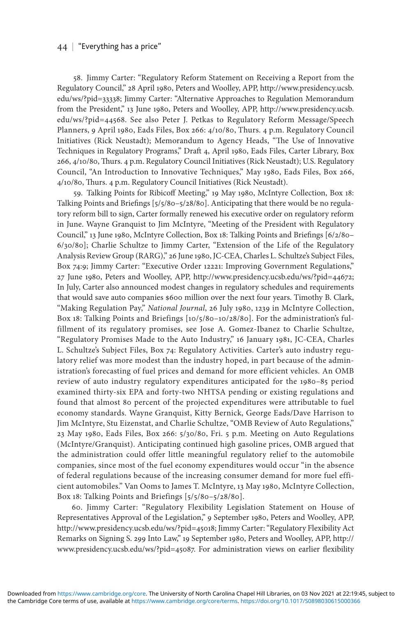58. Jimmy Carter: "Regulatory Reform Statement on Receiving a Report from the Regulatory Council," 28 April 1980, Peters and Woolley, APP, http://www.presidency.ucsb. edu/ws/?pid=33338 ; Jimmy Carter: "Alternative Approaches to Regulation Memorandum from the President," 13 June 1980, Peters and Woolley, APP, http://www.presidency.ucsb. edu/ws/?pid=44568 . See also Peter J. Petkas to Regulatory Reform Message/Speech Planners, 9 April 1980, Eads Files, Box 266: 4/10/80, Thurs. 4 p.m. Regulatory Council Initiatives (Rick Neustadt); Memorandum to Agency Heads, "The Use of Innovative Techniques in Regulatory Programs," Draft 4, April 1980, Eads Files, Carter Library, Box 266, 4/10/80, Thurs. 4 p.m. Regulatory Council Initiatives (Rick Neustadt); U.S. Regulatory Council, "An Introduction to Innovative Techniques," May 1980, Eads Files, Box 266, 4/10/80, Thurs. 4 p.m. Regulatory Council Initiatives (Rick Neustadt).

 59. Talking Points for Ribicoff Meeting," 19 May 1980, McIntyre Collection, Box 18: Talking Points and Briefings [5/5/80-5/28/80]. Anticipating that there would be no regulatory reform bill to sign, Carter formally renewed his executive order on regulatory reform in June. Wayne Granquist to Jim McIntyre, "Meeting of the President with Regulatory Council," 13 June 1980, McIntyre Collection, Box 18: Talking Points and Briefings [6/2/80– 6/30/80]; Charlie Schultze to Jimmy Carter, "Extension of the Life of the Regulatory Analysis Review Group (RARG)," 26 June 1980, JC-CEA, Charles L. Schultze's Subject Files, Box 74:9; Jimmy Carter: "Executive Order 12221: Improving Government Regulations," 27 June 1980, Peters and Woolley, APP, http://www.presidency.ucsb.edu/ws/?pid=44672 ; In July, Carter also announced modest changes in regulatory schedules and requirements that would save auto companies \$600 million over the next four years. Timothy B. Clark, "Making Regulation Pay," *National Journal* , 26 July 1980, 1239 in McIntyre Collection, Box 18: Talking Points and Briefings [10/5/80–10/28/80]. For the administration's fulfillment of its regulatory promises, see Jose A. Gomez-Ibanez to Charlie Schultze, "Regulatory Promises Made to the Auto Industry," 16 January 1981, JC-CEA, Charles L. Schultze's Subject Files, Box 74: Regulatory Activities. Carter's auto industry regulatory relief was more modest than the industry hoped, in part because of the administration's forecasting of fuel prices and demand for more efficient vehicles. An OMB review of auto industry regulatory expenditures anticipated for the 1980–85 period examined thirty-six EPA and forty-two NHTSA pending or existing regulations and found that almost 80 percent of the projected expenditures were attributable to fuel economy standards. Wayne Granquist, Kitty Bernick, George Eads/Dave Harrison to Jim McIntyre, Stu Eizenstat, and Charlie Schultze, "OMB Review of Auto Regulations," 23 May 1980, Eads Files, Box 266: 5/30/80, Fri. 5 p.m. Meeting on Auto Regulations (McIntyre/Granquist). Anticipating continued high gasoline prices, OMB argued that the administration could offer little meaningful regulatory relief to the automobile companies, since most of the fuel economy expenditures would occur "in the absence of federal regulations because of the increasing consumer demand for more fuel efficient automobiles." Van Ooms to James T. McIntyre, 13 May 1980, McIntyre Collection, Box 18: Talking Points and Briefings [5/5/80–5/28/80].

 60. Jimmy Carter: "Regulatory Flexibility Legislation Statement on House of Representatives Approval of the Legislation," 9 September 1980, Peters and Woolley, APP, http://www.presidency.ucsb.edu/ws/?pid=45018 ; Jimmy Carter: "Regulatory Flexibility Act Remarks on Signing S. 299 Into Law," 19 September 1980, Peters and Woolley, APP, http:// www.presidency.ucsb.edu/ws/?pid=45087. For administration views on earlier flexibility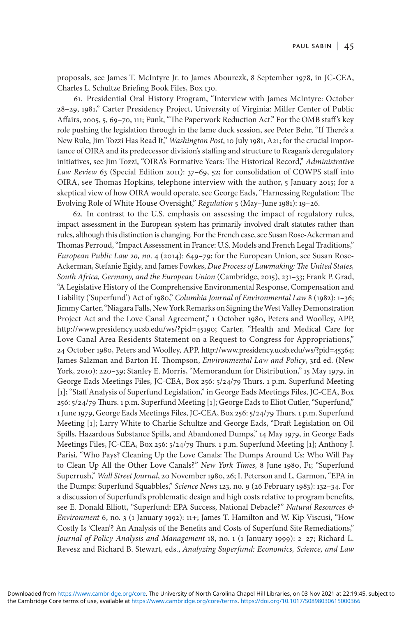proposals, see James T. McIntyre Jr. to James Abourezk, 8 September 1978, in JC-CEA, Charles L. Schultze Briefing Book Files, Box 130.

 61. Presidential Oral History Program, "Interview with James McIntyre: October 28–29, 1981," Carter Presidency Project, University of Virginia: Miller Center of Public Affairs, 2005, 5, 69-70, 111; Funk, "The Paperwork Reduction Act." For the OMB staff's key role pushing the legislation through in the lame duck session, see Peter Behr, "If There's a New Rule, Jim Tozzi Has Read It," *Washington Post* , 10 July 1981, A21; for the crucial importance of OIRA and its predecessor division's staffing and structure to Reagan's deregulatory initiatives, see Jim Tozzi, "OIRA's Formative Years: The Historical Record," *Administrative Law Review* 63 (Special Edition 2011): 37–69, 52; for consolidation of COWPS staff into OIRA, see Thomas Hopkins, telephone interview with the author, 5 January 2015; for a skeptical view of how OIRA would operate, see George Eads, "Harnessing Regulation: The Evolving Role of White House Oversight," *Regulation* 5 (May-June 1981): 19-26.

 62. In contrast to the U.S. emphasis on assessing the impact of regulatory rules, impact assessment in the European system has primarily involved draft statutes rather than rules, although this distinction is changing. For the French case, see Susan Rose-Ackerman and Thomas Perroud, "Impact Assessment in France: U.S. Models and French Legal Traditions," *European Public Law 20, no*. 4 ( 2014 ): 649 –79; for the European Union, see Susan Rose-Ackerman, Stefanie Egidy, and James Fowkes, *Due Process of Lawmaking: The United States*, South Africa, Germany, and the European Union (Cambridge, 2015), 231-33; Frank P. Grad, " A Legislative History of the Comprehensive Environmental Response, Compensation and Liability ('Superfund') Act of 1980," *Columbia Journal of Environmental Law* 8 (1982): 1-36; Jimmy Carter, "Niagara Falls, New York Remarks on Signing the West Valley Demonstration Project Act and the Love Canal Agreement," 1 October 1980, Peters and Woolley, APP, http://www.presidency.ucsb.edu/ws/?pid=45190 ; Carter, "Health and Medical Care for Love Canal Area Residents Statement on a Request to Congress for Appropriations," 24 October 1980, Peters and Woolley, APP, http://www.presidency.ucsb.edu/ws/?pid=45364 ; James Salzman and Barton H. Thompson, *Environmental Law and Policy*, 3rd ed. (New York, 2010): 220–39; Stanley E. Morris, "Memorandum for Distribution," 15 May 1979, in George Eads Meetings Files, JC-CEA, Box 256: 5/24/79 Thurs. 1 p.m. Superfund Meeting [1]; "Staff Analysis of Superfund Legislation," in George Eads Meetings Files, JC-CEA, Box 256: 5/24/79 Thurs. 1 p.m. Superfund Meeting [1]; George Eads to Eliot Cutler, "Superfund," 1 June 1979, George Eads Meetings Files, JC-CEA, Box 256: 5/24/79 Thurs. 1 p.m. Superfund Meeting [1]; Larry White to Charlie Schultze and George Eads, "Draft Legislation on Oil Spills, Hazardous Substance Spills, and Abandoned Dumps," 14 May 1979, in George Eads Meetings Files, JC-CEA, Box 256:  $5/24/79$  Thurs. 1 p.m. Superfund Meeting [1]; Anthony J. Parisi, "Who Pays? Cleaning Up the Love Canals: The Dumps Around Us: Who Will Pay to Clean Up All the Other Love Canals?" *New York Times,* 8 June 1980, F1; "Superfund Superrush," *Wall Street Journal* , 20 November 1980, 26; I. Peterson and L. Garmon, "EPA in the Dumps: Superfund Squabbles," *Science News* 123, no. 9 (26 February 1983): 132–34. For a discussion of Superfund's problematic design and high costs relative to program benefits, see E. Donald Elliott, "Superfund: EPA Success, National Debacle?" *Natural Resources & Environment* 6, no. 3 (1 January 1992): 11+; James T. Hamilton and W. Kip Viscusi, "How Costly Is 'Clean'? An Analysis of the Benefits and Costs of Superfund Site Remediations," *Journal of Policy Analysis and Management* 18, no. 1 (1 January 1999): 2–27; Richard L. Revesz and Richard B. Stewart, eds., *Analyzing Superfund: Economics, Science, and Law*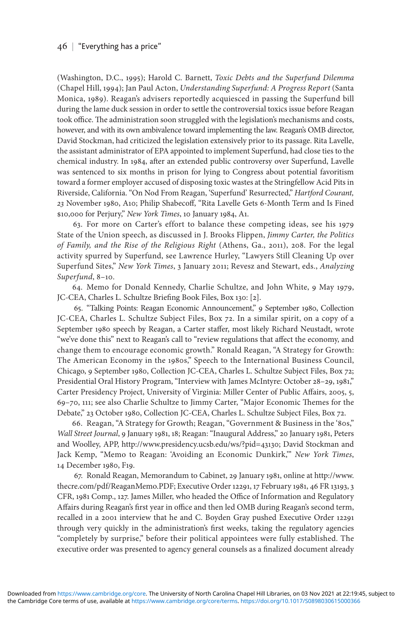(Washington, D.C., 1995); Harold C. Barnett, *Toxic Debts and the Superfund Dilemma* (Chapel Hill, 1994); Jan Paul Acton, *Understanding Superfund: A Progress Report* (Santa Monica, 1989). Reagan's advisers reportedly acquiesced in passing the Superfund bill during the lame duck session in order to settle the controversial toxics issue before Reagan took office. The administration soon struggled with the legislation's mechanisms and costs, however, and with its own ambivalence toward implementing the law. Reagan's OMB director, David Stockman, had criticized the legislation extensively prior to its passage. Rita Lavelle, the assistant administrator of EPA appointed to implement Superfund, had close ties to the chemical industry. In 1984, after an extended public controversy over Superfund, Lavelle was sentenced to six months in prison for lying to Congress about potential favoritism toward a former employer accused of disposing toxic wastes at the Stringfellow Acid Pits in Riverside, California. "On Nod From Reagan, 'Superfund' Resurrected," *Hartford Courant,*  23 November 1980, A10; Philip Shabecoff, "Rita Lavelle Gets 6-Month Term and Is Fined \$10,000 for Perjury," *New York Times* , 10 January 1984, A1.

 63. For more on Carter's effort to balance these competing ideas, see his 1979 State of the Union speech, as discussed in J. Brooks Flippen, *Jimmy Carter, the Politics of Family, and the Rise of the Religious Right* (Athens, Ga., 2011), 208. For the legal activity spurred by Superfund, see Lawrence Hurley, "Lawyers Still Cleaning Up over Superfund Sites," *New York Times* , 3 January 2011; Revesz and Stewart, eds., *Analyzing*  Superfund, 8-10.

 64. Memo for Donald Kennedy, Charlie Schultze, and John White, 9 May 1979, JC-CEA, Charles L. Schultze Briefing Book Files, Box 130: [2].

 65. "Talking Points: Reagan Economic Announcement," 9 September 1980, Collection JC-CEA, Charles L. Schultze Subject Files, Box 72. In a similar spirit, on a copy of a September 1980 speech by Reagan, a Carter staffer, most likely Richard Neustadt, wrote "we've done this" next to Reagan's call to "review regulations that affect the economy, and change them to encourage economic growth." Ronald Reagan, "A Strategy for Growth: The American Economy in the 1980s," Speech to the International Business Council, Chicago, 9 September 1980, Collection JC-CEA, Charles L. Schultze Subject Files, Box 72; Presidential Oral History Program, "Interview with James McIntyre: October 28–29, 1981," Carter Presidency Project, University of Virginia: Miller Center of Public Affairs, 2005, 5, 69–70, 111; see also Charlie Schultze to Jimmy Carter, "Major Economic Themes for the Debate," 23 October 1980, Collection JC-CEA, Charles L. Schultze Subject Files, Box 72.

 66. Reagan, "A Strategy for Growth; Reagan, "Government & Business in the '80s," *Wall Street Journal* , 9 January 1981, 18; Reagan: "Inaugural Address," 20 January 1981, Peters and Woolley, APP, http://www.presidency.ucsb.edu/ws/?pid=43130 ; David Stockman and Jack Kemp, "Memo to Reagan: 'Avoiding an Economic Dunkirk,'" *New York Times* , 14 December 1980, F19.

 67. Ronald Reagan, Memorandum to Cabinet, 29 January 1981, online at http://www. thecre.com/pdf/ReaganMemo.PDF; Executive Order 12291, 17 February 1981, 46 FR 13193, 3 CFR, 1981 Comp., 127. James Miller, who headed the Office of Information and Regulatory Affairs during Reagan's first year in office and then led OMB during Reagan's second term, recalled in a 2001 interview that he and C. Boyden Gray pushed Executive Order 12291 through very quickly in the administration's first weeks, taking the regulatory agencies "completely by surprise," before their political appointees were fully established. The executive order was presented to agency general counsels as a finalized document already